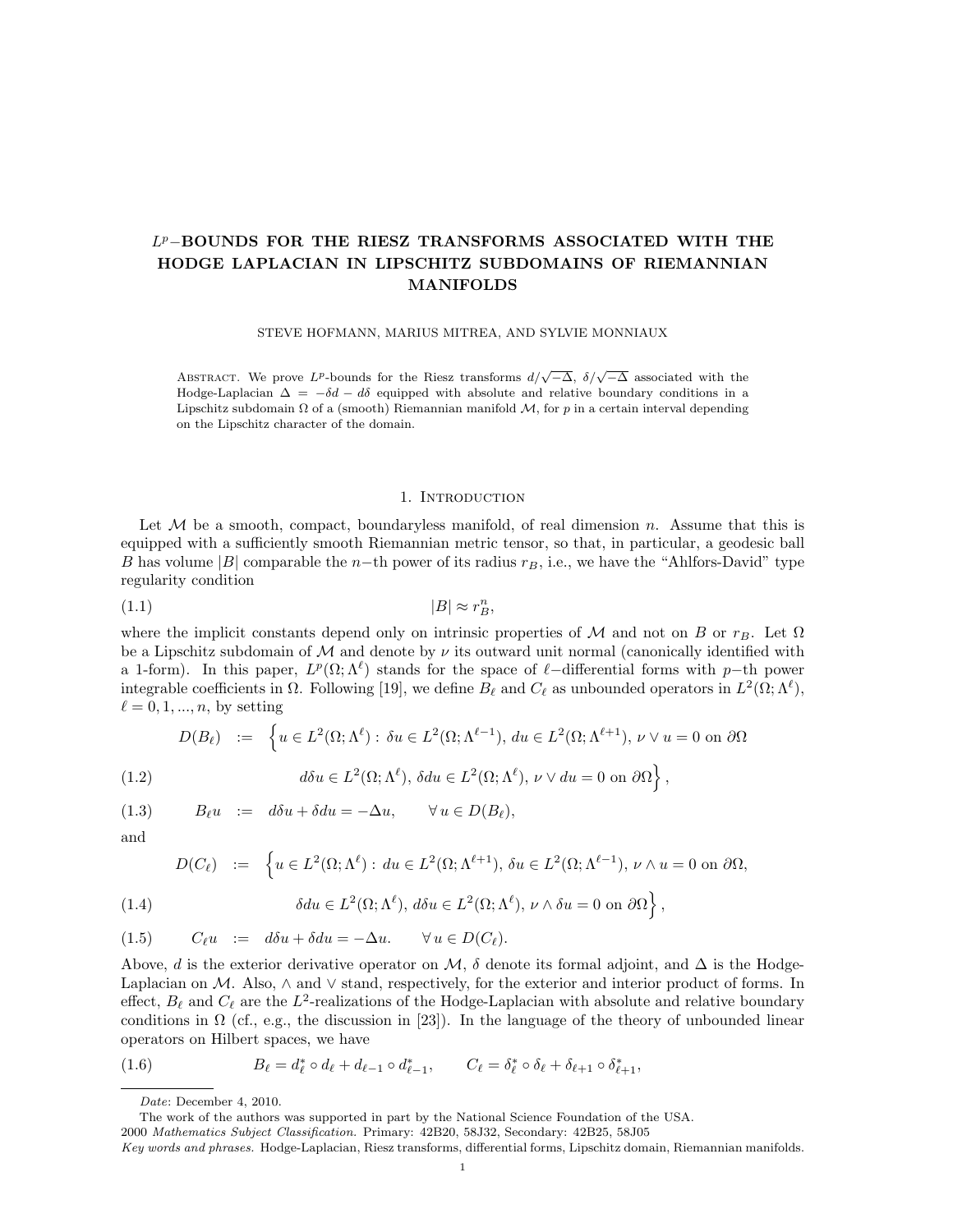# L <sup>p</sup>−BOUNDS FOR THE RIESZ TRANSFORMS ASSOCIATED WITH THE HODGE LAPLACIAN IN LIPSCHITZ SUBDOMAINS OF RIEMANNIAN MANIFOLDS

STEVE HOFMANN, MARIUS MITREA, AND SYLVIE MONNIAUX

ABSTRACT. We prove L<sup>p</sup>-bounds for the Riesz transforms  $d/\sqrt{-\Delta}$ ,  $\delta/\sqrt{-\Delta}$  associated with the Hodge-Laplacian  $\Delta = -\delta d - d\delta$  equipped with absolute and relative boundary conditions in a Lipschitz subdomain  $\Omega$  of a (smooth) Riemannian manifold  $\mathcal{M}$ , for p in a certain interval depending on the Lipschitz character of the domain.

### 1. Introduction

Let  $M$  be a smooth, compact, boundaryless manifold, of real dimension n. Assume that this is equipped with a sufficiently smooth Riemannian metric tensor, so that, in particular, a geodesic ball B has volume |B| comparable the n−th power of its radius  $r_B$ , i.e., we have the "Ahlfors-David" type regularity condition

$$
(1.1)\t\t\t |B| \approx r_B^n,
$$

where the implicit constants depend only on intrinsic properties of M and not on B or  $r_B$ . Let  $\Omega$ be a Lipschitz subdomain of M and denote by  $\nu$  its outward unit normal (canonically identified with a 1-form). In this paper,  $L^p(\Omega; \Lambda^{\ell})$  stands for the space of  $\ell$ -differential forms with p-th power integrable coefficients in  $\Omega$ . Following [19], we define  $B_\ell$  and  $C_\ell$  as unbounded operators in  $L^2(\Omega; \Lambda^\ell)$ ,  $\ell = 0, 1, ..., n$ , by setting

$$
D(B_{\ell}) \quad := \quad \Big\{ u \in L^{2}(\Omega; \Lambda^{\ell}) : \, \delta u \in L^{2}(\Omega; \Lambda^{\ell-1}), \, du \in L^{2}(\Omega; \Lambda^{\ell+1}), \, \nu \vee u = 0 \text{ on } \partial \Omega \Big\}
$$

(1.2) 
$$
d\delta u \in L^2(\Omega; \Lambda^{\ell}), \delta du \in L^2(\Omega; \Lambda^{\ell}), \nu \vee du = 0 \text{ on } \partial\Omega \},
$$

(1.3)  $B_\ell u := d\delta u + \delta du = -\Delta u, \quad \forall u \in D(B_\ell),$ 

and

$$
D(C_{\ell}) \quad := \quad \left\{ u \in L^{2}(\Omega; \Lambda^{\ell}) : du \in L^{2}(\Omega; \Lambda^{\ell+1}), \, \delta u \in L^{2}(\Omega; \Lambda^{\ell-1}), \, \nu \wedge u = 0 \text{ on } \partial \Omega, \right\}
$$

(1.4) 
$$
\delta du \in L^{2}(\Omega; \Lambda^{\ell}), d\delta u \in L^{2}(\Omega; \Lambda^{\ell}), \nu \wedge \delta u = 0 \text{ on } \partial\Omega \},
$$

$$
(1.5) \tC_{\ell}u := d\delta u + \delta du = -\Delta u. \quad \forall u \in D(C_{\ell}).
$$

Above, d is the exterior derivative operator on M,  $\delta$  denote its formal adjoint, and  $\Delta$  is the Hodge-Laplacian on M. Also, ∧ and ∨ stand, respectively, for the exterior and interior product of forms. In effect,  $B_\ell$  and  $C_\ell$  are the  $L^2$ -realizations of the Hodge-Laplacian with absolute and relative boundary conditions in  $\Omega$  (cf., e.g., the discussion in [23]). In the language of the theory of unbounded linear operators on Hilbert spaces, we have

(1.6) 
$$
B_{\ell} = d_{\ell}^{*} \circ d_{\ell} + d_{\ell-1} \circ d_{\ell-1}^{*}, \qquad C_{\ell} = \delta_{\ell}^{*} \circ \delta_{\ell} + \delta_{\ell+1} \circ \delta_{\ell+1}^{*},
$$

Date: December 4, 2010.

The work of the authors was supported in part by the National Science Foundation of the USA.

<sup>2000</sup> Mathematics Subject Classification. Primary: 42B20, 58J32, Secondary: 42B25, 58J05

Key words and phrases. Hodge-Laplacian, Riesz transforms, differential forms, Lipschitz domain, Riemannian manifolds.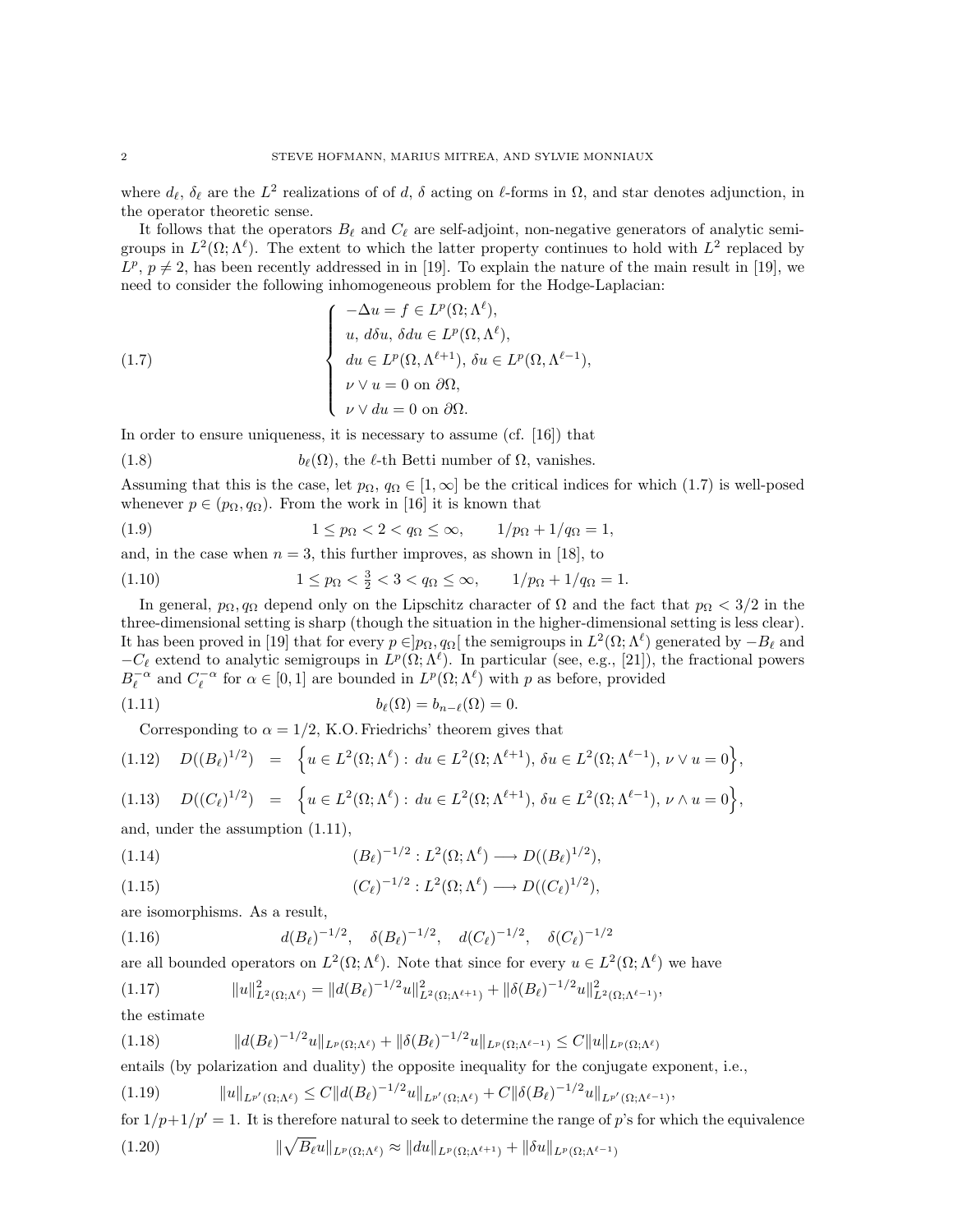where  $d_\ell, \delta_\ell$  are the  $L^2$  realizations of of d,  $\delta$  acting on  $\ell$ -forms in  $\Omega$ , and star denotes adjunction, in the operator theoretic sense.

It follows that the operators  $B_\ell$  and  $C_\ell$  are self-adjoint, non-negative generators of analytic semigroups in  $L^2(\Omega;\Lambda^{\ell})$ . The extent to which the latter property continues to hold with  $L^2$  replaced by  $L^p$ ,  $p \neq 2$ , has been recently addressed in in [19]. To explain the nature of the main result in [19], we need to consider the following inhomogeneous problem for the Hodge-Laplacian:

(1.7) 
$$
\begin{cases}\n-\Delta u = f \in L^p(\Omega; \Lambda^\ell), \\
u, d\delta u, \delta du \in L^p(\Omega, \Lambda^\ell), \\
du \in L^p(\Omega, \Lambda^{\ell+1}), \delta u \in L^p(\Omega, \Lambda^{\ell-1}), \\
u \vee u = 0 \text{ on } \partial\Omega, \\
u \vee du = 0 \text{ on } \partial\Omega.\n\end{cases}
$$

In order to ensure uniqueness, it is necessary to assume (cf. [16]) that

(1.8) 
$$
b_{\ell}(\Omega), \text{ the } \ell \text{-th Betti number of } \Omega, \text{ vanishes.}
$$

Assuming that this is the case, let  $p_{\Omega}$ ,  $q_{\Omega} \in [1, \infty]$  be the critical indices for which (1.7) is well-posed whenever  $p \in (p_{\Omega}, q_{\Omega})$ . From the work in [16] it is known that

(1.9) 
$$
1 \le p_{\Omega} < 2 < q_{\Omega} \le \infty, \qquad \frac{1}{p_{\Omega} + \frac{1}{q_{\Omega}} = 1,
$$

and, in the case when  $n = 3$ , this further improves, as shown in [18], to

(1.10) 
$$
1 \le p_{\Omega} < \frac{3}{2} < 3 < q_{\Omega} \le \infty, \qquad \frac{1}{p_{\Omega} + \frac{1}{q_{\Omega}} = 1.
$$

In general,  $p_{\Omega}, q_{\Omega}$  depend only on the Lipschitz character of  $\Omega$  and the fact that  $p_{\Omega} < 3/2$  in the three-dimensional setting is sharp (though the situation in the higher-dimensional setting is less clear). It has been proved in [19] that for every  $p \in ]p_\Omega, q_\Omega[$  the semigroups in  $L^2(\Omega; \Lambda^\ell)$  generated by  $-B_\ell$  and  $-C_{\ell}$  extend to analytic semigroups in  $L^p(\Omega; \Lambda^{\ell})$ . In particular (see, e.g., [21]), the fractional powers  $B_{\ell}^{-\alpha}$  and  $C_{\ell}^{-\alpha}$  for  $\alpha \in [0,1]$  are bounded in  $L^{p}(\Omega; \Lambda^{\ell})$  with p as before, provided

(1.11) 
$$
b_{\ell}(\Omega) = b_{n-\ell}(\Omega) = 0.
$$

Corresponding to  $\alpha = 1/2$ , K.O. Friedrichs' theorem gives that

$$
(1.12) \quad D((B_{\ell})^{1/2}) = \left\{ u \in L^{2}(\Omega; \Lambda^{\ell}) : du \in L^{2}(\Omega; \Lambda^{\ell+1}), \, \delta u \in L^{2}(\Omega; \Lambda^{\ell-1}), \, \nu \vee u = 0 \right\},
$$

$$
(1.13) \quad D((C_{\ell})^{1/2}) = \left\{ u \in L^{2}(\Omega; \Lambda^{\ell}) : du \in L^{2}(\Omega; \Lambda^{\ell+1}), \, \delta u \in L^{2}(\Omega; \Lambda^{\ell-1}), \, \nu \wedge u = 0 \right\},
$$

and, under the assumption (1.11),

$$
(1.14) \qquad (B_{\ell})^{-1/2}: L^{2}(\Omega; \Lambda^{\ell}) \longrightarrow D((B_{\ell})^{1/2}),
$$

$$
(1.15) \qquad \qquad (C_{\ell})^{-1/2}: L^2(\Omega; \Lambda^{\ell}) \longrightarrow D((C_{\ell})^{1/2}),
$$

are isomorphisms. As a result,

(1.16) 
$$
d(B_{\ell})^{-1/2}, \quad \delta(B_{\ell})^{-1/2}, \quad d(C_{\ell})^{-1/2}, \quad \delta(C_{\ell})^{-1/2}
$$

are all bounded operators on  $L^2(\Omega; \Lambda^{\ell})$ . Note that since for every  $u \in L^2(\Omega; \Lambda^{\ell})$  we have

kuk 2 <sup>L</sup>2(Ω;Λ`) = kd(B`) <sup>−</sup>1/<sup>2</sup>uk 2 <sup>L</sup>2(Ω;Λ`+1) + kδ(B`) <sup>−</sup>1/<sup>2</sup>uk 2 L2(Ω;Λ`−1) (1.17) ,

the estimate

$$
(1.18) \t\t ||d(B_{\ell})^{-1/2}u||_{L^{p}(\Omega;\Lambda^{\ell})} + ||\delta(B_{\ell})^{-1/2}u||_{L^{p}(\Omega;\Lambda^{\ell-1})} \leq C||u||_{L^{p}(\Omega;\Lambda^{\ell})}
$$

entails (by polarization and duality) the opposite inequality for the conjugate exponent, i.e.,

$$
(1.19) \t\t ||u||_{L^{p'}(\Omega;\Lambda^{\ell})} \leq C||d(B_{\ell})^{-1/2}u||_{L^{p'}(\Omega;\Lambda^{\ell})} + C||\delta(B_{\ell})^{-1/2}u||_{L^{p'}(\Omega;\Lambda^{\ell-1})},
$$

for  $1/p+1/p' = 1$ . It is therefore natural to seek to determine the range of p's for which the equivalence

(1.20) 
$$
\|\sqrt{B_{\ell}}u\|_{L^{p}(\Omega;\Lambda^{\ell})}\approx \|du\|_{L^{p}(\Omega;\Lambda^{\ell+1})}+\|\delta u\|_{L^{p}(\Omega;\Lambda^{\ell-1})}
$$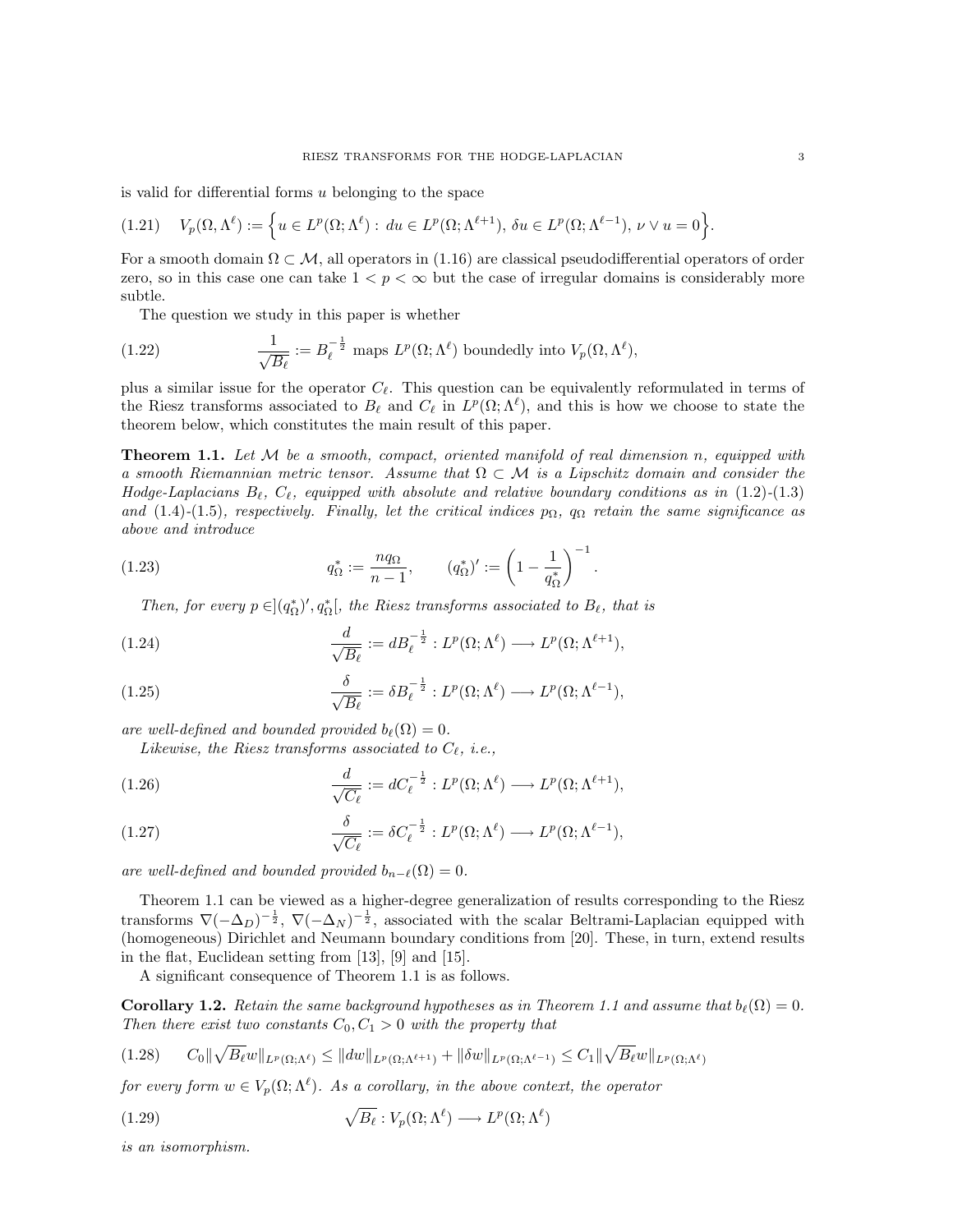is valid for differential forms  $u$  belonging to the space

$$
(1.21) \quad V_p(\Omega, \Lambda^{\ell}) := \left\{ u \in L^p(\Omega; \Lambda^{\ell}) : du \in L^p(\Omega; \Lambda^{\ell+1}), \, \delta u \in L^p(\Omega; \Lambda^{\ell-1}), \, \nu \vee u = 0 \right\}.
$$

For a smooth domain  $\Omega \subset \mathcal{M}$ , all operators in (1.16) are classical pseudodifferential operators of order zero, so in this case one can take  $1 < p < \infty$  but the case of irregular domains is considerably more subtle.

The question we study in this paper is whether

(1.22) 
$$
\frac{1}{\sqrt{B_{\ell}}} := B_{\ell}^{-\frac{1}{2}} \text{ maps } L^p(\Omega; \Lambda^{\ell}) \text{ boundedly into } V_p(\Omega, \Lambda^{\ell}),
$$

plus a similar issue for the operator  $C_{\ell}$ . This question can be equivalently reformulated in terms of the Riesz transforms associated to  $B_\ell$  and  $C_\ell$  in  $L^p(\Omega; \Lambda^\ell)$ , and this is how we choose to state the theorem below, which constitutes the main result of this paper.

**Theorem 1.1.** Let  $M$  be a smooth, compact, oriented manifold of real dimension n, equipped with a smooth Riemannian metric tensor. Assume that  $\Omega \subset \mathcal{M}$  is a Lipschitz domain and consider the Hodge-Laplacians  $B_\ell, C_\ell$ , equipped with absolute and relative boundary conditions as in (1.2)-(1.3) and (1.4)-(1.5), respectively. Finally, let the critical indices  $p_{\Omega}$ ,  $q_{\Omega}$  retain the same significance as above and introduce

(1.23) 
$$
q_{\Omega}^* := \frac{n q_{\Omega}}{n-1}, \qquad (q_{\Omega}^*)' := \left(1 - \frac{1}{q_{\Omega}^*}\right)^{-1}.
$$

Then, for every  $p \in ](q_{\Omega}^*)', q_{\Omega}^*[$ , the Riesz transforms associated to  $B_{\ell}$ , that is

(1.24) 
$$
\frac{d}{\sqrt{B_{\ell}}} := dB_{\ell}^{-\frac{1}{2}} : L^p(\Omega; \Lambda^{\ell}) \longrightarrow L^p(\Omega; \Lambda^{\ell+1}),
$$

(1.25) 
$$
\frac{\delta}{\sqrt{B_{\ell}}} := \delta B_{\ell}^{-\frac{1}{2}} : L^p(\Omega; \Lambda^{\ell}) \longrightarrow L^p(\Omega; \Lambda^{\ell-1}),
$$

are well-defined and bounded provided  $b_{\ell}(\Omega) = 0$ .

Likewise, the Riesz transforms associated to  $C_{\ell}$ , i.e.,

(1.26) 
$$
\frac{d}{\sqrt{C_{\ell}}} := dC_{\ell}^{-\frac{1}{2}} : L^p(\Omega; \Lambda^{\ell}) \longrightarrow L^p(\Omega; \Lambda^{\ell+1}),
$$

(1.27) 
$$
\frac{\delta}{\sqrt{C_{\ell}}} := \delta C_{\ell}^{-\frac{1}{2}} : L^p(\Omega; \Lambda^{\ell}) \longrightarrow L^p(\Omega; \Lambda^{\ell-1}),
$$

are well-defined and bounded provided  $b_{n-\ell}(\Omega) = 0$ .

Theorem 1.1 can be viewed as a higher-degree generalization of results corresponding to the Riesz transforms  $\nabla(-\Delta_D)^{-\frac{1}{2}}$ ,  $\nabla(-\Delta_N)^{-\frac{1}{2}}$ , associated with the scalar Beltrami-Laplacian equipped with (homogeneous) Dirichlet and Neumann boundary conditions from [20]. These, in turn, extend results in the flat, Euclidean setting from [13], [9] and [15].

A significant consequence of Theorem 1.1 is as follows.

**Corollary 1.2.** Retain the same background hypotheses as in Theorem 1.1 and assume that  $b_{\ell}(\Omega) = 0$ . Then there exist two constants  $C_0, C_1 > 0$  with the property that

$$
(1.28) \qquad C_0 \|\sqrt{B_\ell w}\|_{L^p(\Omega;\Lambda^\ell)} \le \|dw\|_{L^p(\Omega;\Lambda^{\ell+1})} + \|\delta w\|_{L^p(\Omega;\Lambda^{\ell-1})} \le C_1 \|\sqrt{B_\ell w}\|_{L^p(\Omega;\Lambda^\ell)}
$$

for every form  $w \in V_p(\Omega; \Lambda^{\ell})$ . As a corollary, in the above context, the operator

(1.29) 
$$
\sqrt{B_{\ell}}: V_p(\Omega; \Lambda^{\ell}) \longrightarrow L^p(\Omega; \Lambda^{\ell})
$$

is an isomorphism.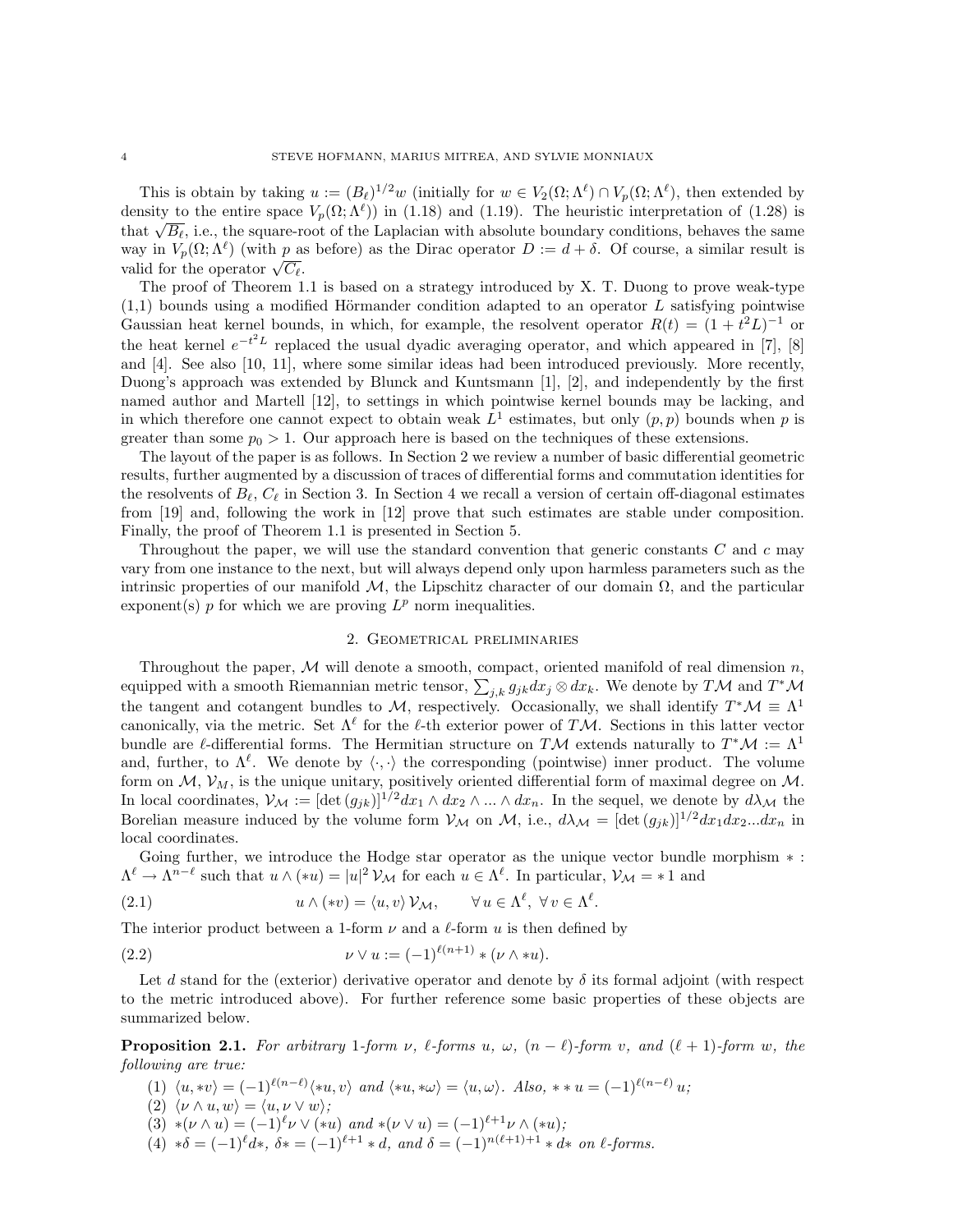This is obtain by taking  $u := (B_\ell)^{1/2} w$  (initially for  $w \in V_2(\Omega; \Lambda^\ell) \cap V_p(\Omega; \Lambda^\ell)$ , then extended by density to the entire space  $V_p(\Omega; \Lambda^{\ell})$  in (1.18) and (1.19). The heuristic interpretation of (1.28) is density to the entire space  $V_p(\Sigma; \Lambda^r)$  in (1.18) and (1.19). The neuristic interpretation of (1.28) is<br>that  $\sqrt{B_\ell}$ , i.e., the square-root of the Laplacian with absolute boundary conditions, behaves the same way in  $V_p(\Omega; \Lambda^{\ell})$  (with p as before) as the Dirac operator  $D := d + \delta$ . Of course, a similar result is way in  $v_p(x; \Lambda')$  (with p as<br>valid for the operator  $\sqrt{C_\ell}$ .

The proof of Theorem 1.1 is based on a strategy introduced by X. T. Duong to prove weak-type  $(1,1)$  bounds using a modified Hörmander condition adapted to an operator L satisfying pointwise Gaussian heat kernel bounds, in which, for example, the resolvent operator  $R(t) = (1 + t^2 L)^{-1}$  or the heat kernel  $e^{-t^2L}$  replaced the usual dyadic averaging operator, and which appeared in [7], [8] and [4]. See also [10, 11], where some similar ideas had been introduced previously. More recently, Duong's approach was extended by Blunck and Kuntsmann [1], [2], and independently by the first named author and Martell [12], to settings in which pointwise kernel bounds may be lacking, and in which therefore one cannot expect to obtain weak  $L^1$  estimates, but only  $(p, p)$  bounds when p is greater than some  $p_0 > 1$ . Our approach here is based on the techniques of these extensions.

The layout of the paper is as follows. In Section 2 we review a number of basic differential geometric results, further augmented by a discussion of traces of differential forms and commutation identities for the resolvents of  $B_\ell, C_\ell$  in Section 3. In Section 4 we recall a version of certain off-diagonal estimates from [19] and, following the work in [12] prove that such estimates are stable under composition. Finally, the proof of Theorem 1.1 is presented in Section 5.

Throughout the paper, we will use the standard convention that generic constants  $C$  and  $c$  may vary from one instance to the next, but will always depend only upon harmless parameters such as the intrinsic properties of our manifold M, the Lipschitz character of our domain  $\Omega$ , and the particular exponent(s)  $p$  for which we are proving  $L^p$  norm inequalities.

### 2. Geometrical preliminaries

Throughout the paper,  $M$  will denote a smooth, compact, oriented manifold of real dimension n, equipped with a smooth Riemannian metric tensor,  $\sum_{j,k} g_{jk} dx_j \otimes dx_k$ . We denote by TM and T<sup>\*</sup>M the tangent and cotangent bundles to M, respectively. Occasionally, we shall identify  $T^*\mathcal{M} \equiv \Lambda^1$ canonically, via the metric. Set  $\Lambda^{\ell}$  for the  $\ell$ -th exterior power of TM. Sections in this latter vector bundle are  $\ell$ -differential forms. The Hermitian structure on TM extends naturally to  $T^*\mathcal{M} := \Lambda^1$ and, further, to  $\Lambda^{\ell}$ . We denote by  $\langle \cdot, \cdot \rangle$  the corresponding (pointwise) inner product. The volume form on  $M$ ,  $V_M$ , is the unique unitary, positively oriented differential form of maximal degree on  $M$ . In local coordinates,  $V_{\mathcal{M}} := [\det(g_{jk})]^{1/2} dx_1 \wedge dx_2 \wedge ... \wedge dx_n$ . In the sequel, we denote by  $d\lambda_{\mathcal{M}}$  the Borelian measure induced by the volume form  $V_M$  on M, i.e.,  $d\lambda_M = [\det(g_{ik})]^{1/2} dx_1 dx_2...dx_n$  in local coordinates.

Going further, we introduce the Hodge star operator as the unique vector bundle morphism  $\ast$ :  $\Lambda^{\ell} \to \Lambda^{n-\ell}$  such that  $u \wedge (*u) = |u|^2 \mathcal{V}_{\mathcal{M}}$  for each  $u \in \Lambda^{\ell}$ . In particular,  $\mathcal{V}_{\mathcal{M}} = *1$  and

(2.1) 
$$
u \wedge (*v) = \langle u, v \rangle \mathcal{V}_{\mathcal{M}}, \qquad \forall u \in \Lambda^{\ell}, \ \forall v \in \Lambda^{\ell}.
$$

The interior product between a 1-form  $\nu$  and a  $\ell$ -form u is then defined by

(2.2) 
$$
\nu \vee u := (-1)^{\ell(n+1)} * (\nu \wedge *u).
$$

Let d stand for the (exterior) derivative operator and denote by  $\delta$  its formal adjoint (with respect to the metric introduced above). For further reference some basic properties of these objects are summarized below.

**Proposition 2.1.** For arbitrary 1-form v,  $\ell$ -forms u,  $\omega$ ,  $(n - \ell)$ -form v, and  $(\ell + 1)$ -form w, the following are true:

- (1)  $\langle u, *v \rangle = (-1)^{\ell(n-\ell)} \langle *u, v \rangle$  and  $\langle *u, *w \rangle = \langle u, \omega \rangle$ . Also,  $**u = (-1)^{\ell(n-\ell)} u;$
- (2)  $\langle \nu \wedge u, w \rangle = \langle u, \nu \vee w \rangle$ ;
- $(3) * (\nu \wedge u) = (-1)^{\ell} \nu \vee (*u) \text{ and } * (\nu \vee u) = (-1)^{\ell+1} \nu \wedge (*u);$
- (4)  $*\delta = (-1)^{\ell} d*, \ \delta * = (-1)^{\ell+1} * d, \ and \ \delta = (-1)^{n(\ell+1)+1} * d* \ on \ \ell\text{-forms}.$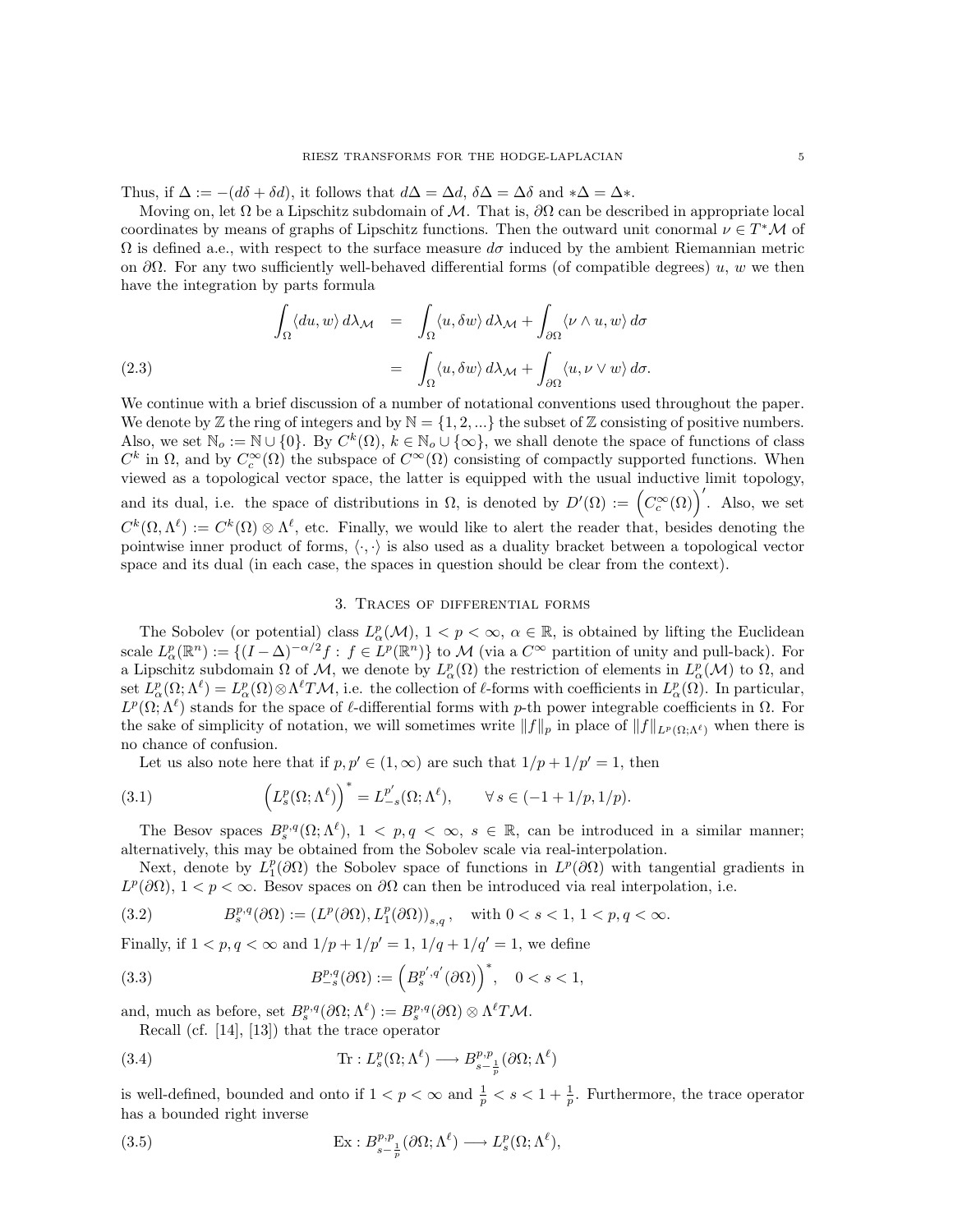Thus, if  $\Delta := -(d\delta + \delta d)$ , it follows that  $d\Delta = \Delta d$ ,  $\delta \Delta = \Delta \delta$  and  $*\Delta = \Delta *$ .

Moving on, let  $\Omega$  be a Lipschitz subdomain of M. That is,  $\partial\Omega$  can be described in appropriate local coordinates by means of graphs of Lipschitz functions. Then the outward unit conormal  $\nu \in T^*{\mathcal{M}}$  of  $\Omega$  is defined a.e., with respect to the surface measure  $d\sigma$  induced by the ambient Riemannian metric on  $\partial\Omega$ . For any two sufficiently well-behaved differential forms (of compatible degrees) u, w we then have the integration by parts formula

(2.3)  
\n
$$
\int_{\Omega} \langle du, w \rangle d\lambda_{\mathcal{M}} = \int_{\Omega} \langle u, \delta w \rangle d\lambda_{\mathcal{M}} + \int_{\partial \Omega} \langle \nu \wedge u, w \rangle d\sigma
$$
\n
$$
= \int_{\Omega} \langle u, \delta w \rangle d\lambda_{\mathcal{M}} + \int_{\partial \Omega} \langle u, \nu \vee w \rangle d\sigma.
$$

We continue with a brief discussion of a number of notational conventions used throughout the paper. We denote by  $\mathbb Z$  the ring of integers and by  $\mathbb N = \{1, 2, ...\}$  the subset of  $\mathbb Z$  consisting of positive numbers. Also, we set  $\mathbb{N}_o := \mathbb{N} \cup \{0\}$ . By  $C^k(\Omega), k \in \mathbb{N}_o \cup \{\infty\}$ , we shall denote the space of functions of class  $C^k$  in  $\Omega$ , and by  $C_c^{\infty}(\Omega)$  the subspace of  $C^{\infty}(\Omega)$  consisting of compactly supported functions. When viewed as a topological vector space, the latter is equipped with the usual inductive limit topology, and its dual, i.e. the space of distributions in  $\Omega$ , is denoted by  $D'(\Omega) := (C_c^{\infty}(\Omega))'$ . Also, we set  $C^k(\Omega, \Lambda^{\ell}) := C^k(\Omega) \otimes \Lambda^{\ell}$ , etc. Finally, we would like to alert the reader that, besides denoting the pointwise inner product of forms,  $\langle \cdot, \cdot \rangle$  is also used as a duality bracket between a topological vector space and its dual (in each case, the spaces in question should be clear from the context).

### 3. Traces of differential forms

The Sobolev (or potential) class  $L^p_\alpha(\mathcal{M}), 1 < p < \infty, \alpha \in \mathbb{R}$ , is obtained by lifting the Euclidean scale  $L^p_\alpha(\mathbb{R}^n) := \{ (I - \Delta)^{-\alpha/2} f : f \in L^p(\mathbb{R}^n) \}$  to M (via a  $C^\infty$  partition of unity and pull-back). For a Lipschitz subdomain  $\Omega$  of  $\mathcal{M}$ , we denote by  $L^p_\alpha(\Omega)$  the restriction of elements in  $L^p_\alpha(\mathcal{M})$  to  $\Omega$ , and set  $L^p_\alpha(\Omega;\Lambda^\ell) = L^p_\alpha(\Omega) \otimes \Lambda^\ell T\mathcal{M}$ , i.e. the collection of  $\ell$ -forms with coefficients in  $L^p_\alpha(\Omega)$ . In particular,  $L^p(\Omega;\Lambda^{\ell})$  stands for the space of  $\ell$ -differential forms with p-th power integrable coefficients in  $\Omega$ . For the sake of simplicity of notation, we will sometimes write  $||f||_p$  in place of  $||f||_{L^p(\Omega;\Lambda^{\ell})}$  when there is no chance of confusion.

Let us also note here that if  $p, p' \in (1, \infty)$  are such that  $1/p + 1/p' = 1$ , then

(3.1) 
$$
\left(L_s^p(\Omega;\Lambda^{\ell})\right)^* = L_{-s}^{p'}(\Omega;\Lambda^{\ell}), \qquad \forall s \in (-1+1/p,1/p).
$$

The Besov spaces  $B_s^{p,q}(\Omega;\Lambda^{\ell}), 1 < p,q < \infty, s \in \mathbb{R}$ , can be introduced in a similar manner; alternatively, this may be obtained from the Sobolev scale via real-interpolation.

Next, denote by  $L_1^p(\partial\Omega)$  the Sobolev space of functions in  $L^p(\partial\Omega)$  with tangential gradients in  $L^p(\partial\Omega)$ ,  $1 < p < \infty$ . Besov spaces on  $\partial\Omega$  can then be introduced via real interpolation, i.e.

$$
(3.2) \qquad \qquad B_s^{p,q}(\partial\Omega):=\left(L^p(\partial\Omega),L^p_1(\partial\Omega)\right)_{s,q},\quad\text{with }0
$$

Finally, if  $1 < p, q < \infty$  and  $1/p + 1/p' = 1, 1/q + 1/q' = 1$ , we define

(3.3) 
$$
B_{-s}^{p,q}(\partial\Omega) := \left(B_s^{p',q'}(\partial\Omega)\right)^*, \quad 0 < s < 1,
$$

and, much as before, set  $B_s^{p,q}(\partial\Omega;\Lambda^{\ell}) := B_s^{p,q}(\partial\Omega) \otimes \Lambda^{\ell} T\mathcal{M}$ .

Recall (cf. [14], [13]) that the trace operator

(3.4) 
$$
\text{Tr}: L_s^p(\Omega; \Lambda^\ell) \longrightarrow B_{s-\frac{1}{p}}^{p,p}(\partial \Omega; \Lambda^\ell)
$$

is well-defined, bounded and onto if  $1 < p < \infty$  and  $\frac{1}{p} < s < 1 + \frac{1}{p}$ . Furthermore, the trace operator has a bounded right inverse

(3.5) 
$$
\operatorname{Ex}: B^{p,p}_{s-\frac{1}{p}}(\partial\Omega;\Lambda^{\ell}) \longrightarrow L^p_s(\Omega;\Lambda^{\ell}),
$$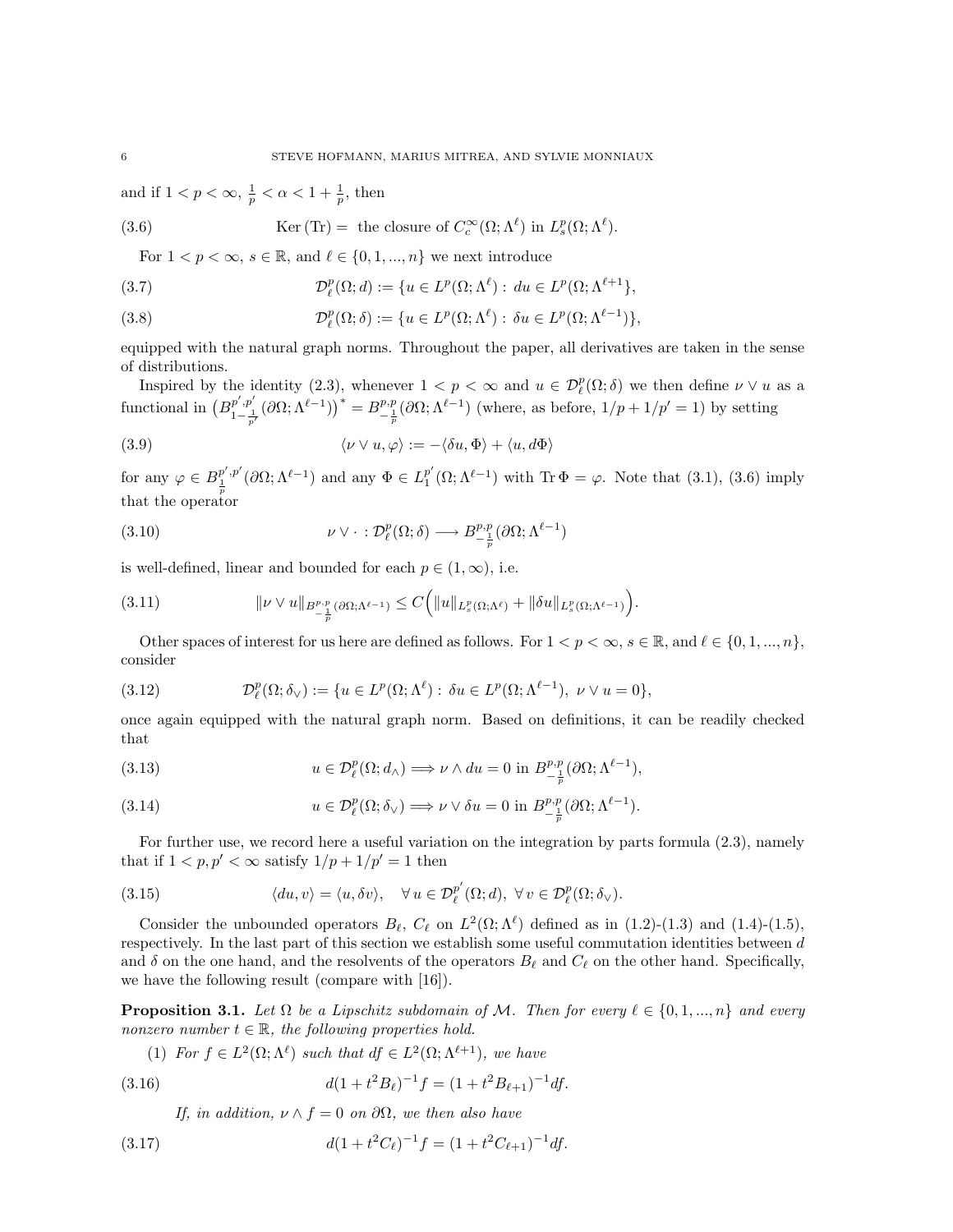and if  $1 < p < \infty$ ,  $\frac{1}{p} < \alpha < 1 + \frac{1}{p}$ , then

(3.6) 
$$
\text{Ker (Tr)} = \text{ the closure of } C_c^{\infty}(\Omega; \Lambda^{\ell}) \text{ in } L_s^p(\Omega; \Lambda^{\ell}).
$$

For  $1 < p < \infty$ ,  $s \in \mathbb{R}$ , and  $\ell \in \{0, 1, ..., n\}$  we next introduce

(3.7) 
$$
\mathcal{D}_{\ell}^{p}(\Omega; d) := \{ u \in L^{p}(\Omega; \Lambda^{\ell}) : du \in L^{p}(\Omega; \Lambda^{\ell+1}),
$$

(3.8) 
$$
\mathcal{D}_{\ell}^{p}(\Omega;\delta) := \{ u \in L^{p}(\Omega;\Lambda^{\ell}) : \delta u \in L^{p}(\Omega;\Lambda^{\ell-1}) \},
$$

equipped with the natural graph norms. Throughout the paper, all derivatives are taken in the sense of distributions.

Inspired by the identity (2.3), whenever  $1 < p < \infty$  and  $u \in \mathcal{D}_{\ell}^p(\Omega; \delta)$  we then define  $\nu \vee u$  as a functional in  $(B_1^{p',p_1'})$  $\left(p',p'\atop 1-\frac{1}{p'}(\partial\Omega;\Lambda^{\ell-1})\right)^* = B^{p,p}_{-\frac{1}{p}}(\partial\Omega;\Lambda^{\ell-1})$  (where, as before,  $1/p+1/p'=1$ ) by setting

(3.9) 
$$
\langle \nu \vee u, \varphi \rangle := -\langle \delta u, \Phi \rangle + \langle u, d\Phi \rangle
$$

for any  $\varphi \in B_{\frac{1}{p}}^{p',p'}(\partial \Omega;\Lambda^{\ell-1})$  and any  $\Phi \in L_1^{p'}$  $\frac{p'}{1}(\Omega; \Lambda^{\ell-1})$  with Tr  $\Phi = \varphi$ . Note that (3.1), (3.6) imply that the operator

(3.10) 
$$
\nu \vee \cdot : \mathcal{D}_{\ell}^{p}(\Omega; \delta) \longrightarrow B_{-\frac{1}{p}}^{p,p}(\partial \Omega; \Lambda^{\ell-1})
$$

is well-defined, linear and bounded for each  $p \in (1,\infty)$ , i.e.

$$
(3.11) \t\t\t\t\t\|\nu \vee u\|_{B^{p,p}_{-\frac{1}{p}}(\partial\Omega;\Lambda^{\ell-1})} \leq C\Big(\|u\|_{L^p_s(\Omega;\Lambda^\ell)} + \|\delta u\|_{L^p_s(\Omega;\Lambda^{\ell-1})}\Big).
$$

Other spaces of interest for us here are defined as follows. For  $1 < p < \infty$ ,  $s \in \mathbb{R}$ , and  $\ell \in \{0, 1, ..., n\}$ , consider

(3.12) 
$$
\mathcal{D}_{\ell}^{p}(\Omega;\delta_{\vee}) := \{u \in L^{p}(\Omega;\Lambda^{\ell}) : \delta u \in L^{p}(\Omega;\Lambda^{\ell-1}), \ \nu \vee u = 0\},\
$$

once again equipped with the natural graph norm. Based on definitions, it can be readily checked that

(3.13) 
$$
u \in \mathcal{D}_{\ell}^{p}(\Omega; d_{\wedge}) \Longrightarrow \nu \wedge du = 0 \text{ in } B^{p,p}_{-\frac{1}{p}}(\partial \Omega; \Lambda^{\ell-1}),
$$

(3.14) 
$$
u \in \mathcal{D}_{\ell}^{p}(\Omega; \delta_{\vee}) \Longrightarrow \nu \vee \delta u = 0 \text{ in } B^{p,p}_{-\frac{1}{p}}(\partial \Omega; \Lambda^{\ell-1}).
$$

For further use, we record here a useful variation on the integration by parts formula (2.3), namely that if  $1 < p, p' < \infty$  satisfy  $1/p + 1/p' = 1$  then

(3.15) 
$$
\langle du, v \rangle = \langle u, \delta v \rangle, \quad \forall u \in \mathcal{D}_{\ell}^{p'}(\Omega; d), \ \forall v \in \mathcal{D}_{\ell}^{p}(\Omega; \delta_{\vee}).
$$

Consider the unbounded operators  $B_\ell$ ,  $C_\ell$  on  $L^2(\Omega; \Lambda^\ell)$  defined as in (1.2)-(1.3) and (1.4)-(1.5), respectively. In the last part of this section we establish some useful commutation identities between d and  $\delta$  on the one hand, and the resolvents of the operators  $B_\ell$  and  $C_\ell$  on the other hand. Specifically, we have the following result (compare with [16]).

**Proposition 3.1.** Let  $\Omega$  be a Lipschitz subdomain of M. Then for every  $\ell \in \{0, 1, ..., n\}$  and every nonzero number  $t \in \mathbb{R}$ , the following properties hold.

(1) For  $f \in L^2(\Omega; \Lambda^{\ell})$  such that  $df \in L^2(\Omega; \Lambda^{\ell+1})$ , we have

(3.16) 
$$
d(1+t^2B_\ell)^{-1}f = (1+t^2B_{\ell+1})^{-1}df.
$$

If, in addition,  $\nu \wedge f = 0$  on  $\partial \Omega$ , we then also have

(3.17) 
$$
d(1+t^2C_\ell)^{-1}f = (1+t^2C_{\ell+1})^{-1}df.
$$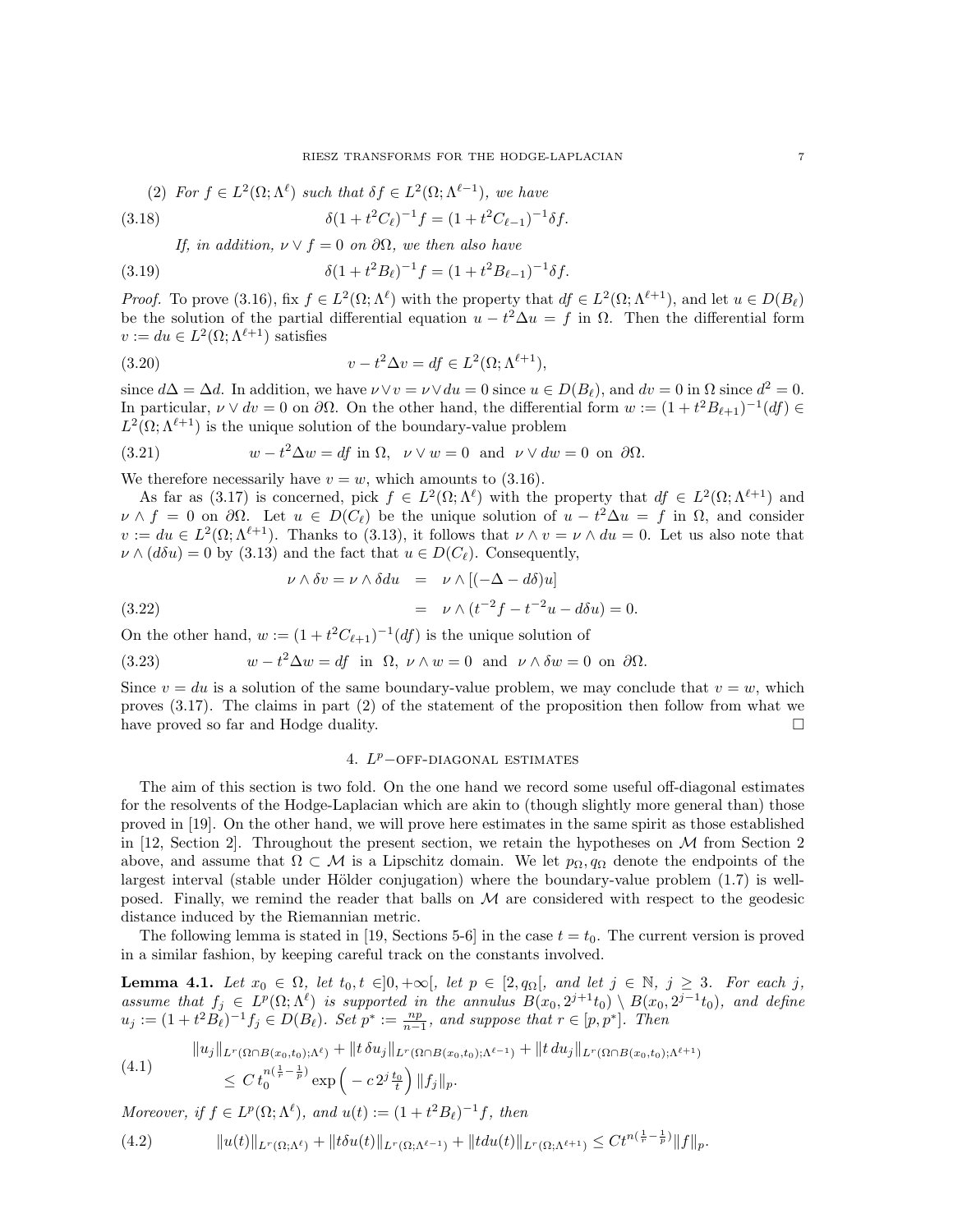(2) For 
$$
f \in L^2(\Omega; \Lambda^{\ell})
$$
 such that  $\delta f \in L^2(\Omega; \Lambda^{\ell-1})$ , we have

(3.18) 
$$
\delta(1+t^2C_{\ell})^{-1}f = (1+t^2C_{\ell-1})^{-1}\delta f.
$$

If, in addition,  $\nu \vee f = 0$  on  $\partial \Omega$ , we then also have

(3.19) 
$$
\delta(1+t^2B_\ell)^{-1}f = (1+t^2B_{\ell-1})^{-1}\delta f.
$$

*Proof.* To prove (3.16), fix  $f \in L^2(\Omega; \Lambda^{\ell})$  with the property that  $df \in L^2(\Omega; \Lambda^{\ell+1})$ , and let  $u \in D(B_{\ell})$ be the solution of the partial differential equation  $u - t^2 \Delta u = f$  in  $\Omega$ . Then the differential form  $v := du \in L^2(\Omega; \Lambda^{\ell+1})$  satisfies

(3.20) 
$$
v - t^2 \Delta v = df \in L^2(\Omega; \Lambda^{\ell+1}),
$$

since  $d\Delta = \Delta d$ . In addition, we have  $\nu \vee v = \nu \vee du = 0$  since  $u \in D(B_{\ell})$ , and  $dv = 0$  in  $\Omega$  since  $d^2 = 0$ . In particular,  $\nu \vee dv = 0$  on  $\partial \Omega$ . On the other hand, the differential form  $w := (1 + t^2 B_{\ell+1})^{-1}(df) \in$  $L^2(\Omega; \Lambda^{\ell+1})$  is the unique solution of the boundary-value problem

(3.21) 
$$
w - t^2 \Delta w = df \text{ in } \Omega, \quad \nu \vee w = 0 \text{ and } \nu \vee dw = 0 \text{ on } \partial \Omega.
$$

We therefore necessarily have  $v = w$ , which amounts to (3.16).

As far as (3.17) is concerned, pick  $f \in L^2(\Omega; \Lambda^{\ell})$  with the property that  $df \in L^2(\Omega; \Lambda^{\ell+1})$  and  $\nu \wedge f = 0$  on  $\partial \Omega$ . Let  $u \in D(C_{\ell})$  be the unique solution of  $u - t^2 \Delta u = f$  in  $\Omega$ , and consider  $v := du \in L^2(\Omega; \Lambda^{\ell+1})$ . Thanks to (3.13), it follows that  $\nu \wedge v = \nu \wedge du = 0$ . Let us also note that  $\nu \wedge (d\delta u) = 0$  by (3.13) and the fact that  $u \in D(C_{\ell})$ . Consequently,

(3.22) 
$$
\nu \wedge \delta v = \nu \wedge \delta du = \nu \wedge [(-\Delta - d\delta)u]
$$

$$
= \nu \wedge (t^{-2}f - t^{-2}u - d\delta u) = 0.
$$

On the other hand,  $w := (1 + t^2 C_{\ell+1})^{-1}(df)$  is the unique solution of

(3.23) 
$$
w - t^2 \Delta w = df \text{ in } \Omega, \nu \wedge w = 0 \text{ and } \nu \wedge \delta w = 0 \text{ on } \partial \Omega.
$$

Since  $v = du$  is a solution of the same boundary-value problem, we may conclude that  $v = w$ , which proves (3.17). The claims in part (2) of the statement of the proposition then follow from what we have proved so far and Hodge duality.

## 4.  $L^p$ -OFF-DIAGONAL ESTIMATES

The aim of this section is two fold. On the one hand we record some useful off-diagonal estimates for the resolvents of the Hodge-Laplacian which are akin to (though slightly more general than) those proved in [19]. On the other hand, we will prove here estimates in the same spirit as those established in [12, Section 2]. Throughout the present section, we retain the hypotheses on  $\mathcal M$  from Section 2 above, and assume that  $\Omega \subset \mathcal{M}$  is a Lipschitz domain. We let  $p_{\Omega}, q_{\Omega}$  denote the endpoints of the largest interval (stable under Hölder conjugation) where the boundary-value problem  $(1.7)$  is wellposed. Finally, we remind the reader that balls on  $\mathcal M$  are considered with respect to the geodesic distance induced by the Riemannian metric.

The following lemma is stated in [19, Sections 5-6] in the case  $t = t_0$ . The current version is proved in a similar fashion, by keeping careful track on the constants involved.

**Lemma 4.1.** Let  $x_0 \in \Omega$ , let  $t_0, t \in ]0, +\infty[$ , let  $p \in [2, q_\Omega[$ , and let  $j \in \mathbb{N}, j \geq 3$ . For each j, assume that  $f_j \in L^p(\Omega; \Lambda^{\ell})$  is supported in the annulus  $B(x_0, 2^{j+1}t_0) \setminus B(x_0, 2^{j-1}t_0)$ , and define  $u_j := (1 + t^2 B_\ell)^{-1} f_j \in D(B_\ell)$ . Set  $p^* := \frac{np}{n-1}$ , and suppose that  $r \in [p, p^*]$ . Then

$$
(4.1) \qquad \|u_j\|_{L^r(\Omega \cap B(x_0, t_0); \Lambda^\ell)} + \|t \,\delta u_j\|_{L^r(\Omega \cap B(x_0, t_0); \Lambda^{\ell-1})} + \|t \, du_j\|_{L^r(\Omega \cap B(x_0, t_0); \Lambda^{\ell+1})}
$$
  

$$
\leq C \, t_0^{n(\frac{1}{r} - \frac{1}{p})} \exp\left(-c \, 2^{j \frac{t_0}{t}}\right) \|f_j\|_p.
$$

Moreover, if  $f \in L^p(\Omega; \Lambda^\ell)$ , and  $u(t) := (1 + t^2 B_\ell)^{-1} f$ , then

(4.2) ku(t)kLr(Ω;Λ`) + ktδu(t)kLr(Ω;Λ`−1) + ktdu(t)kLr(Ω;Λ`+1) ≤ Ct<sup>n</sup>( 1 <sup>r</sup> <sup>−</sup> <sup>1</sup> p ) kfkp.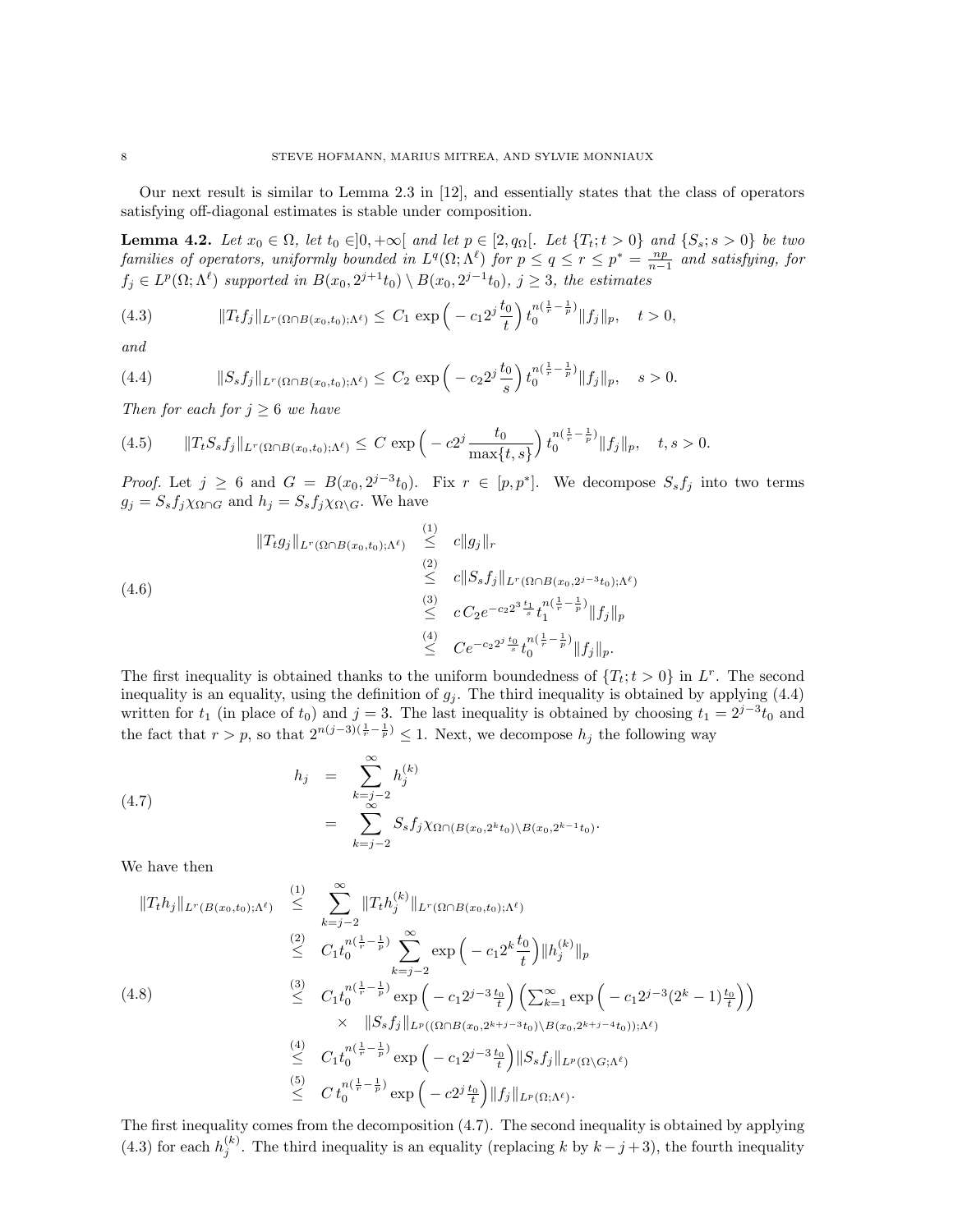Our next result is similar to Lemma 2.3 in [12], and essentially states that the class of operators satisfying off-diagonal estimates is stable under composition.

**Lemma 4.2.** Let  $x_0 \in \Omega$ , let  $t_0 \in ]0, +\infty[$  and let  $p \in [2, q_{\Omega}[\Omega]$ . Let  $\{T_t; t > 0\}$  and  $\{S_s; s > 0\}$  be two families of operators, uniformly bounded in  $L^q(\Omega; \Lambda^\ell)$  for  $p \leq q \leq r \leq p^* = \frac{np}{n-1}$  and satisfying, for  $f_j \in L^p(\Omega; \Lambda^{\ell})$  supported in  $B(x_0, 2^{j+1}t_0) \setminus B(x_0, 2^{j-1}t_0)$ ,  $j \geq 3$ , the estimates

(4.3) 
$$
||T_t f_j||_{L^r(\Omega \cap B(x_0, t_0); \Lambda^{\ell})} \leq C_1 \exp\left(-c_1 2^j \frac{t_0}{t}\right) t_0^{n(\frac{1}{r} - \frac{1}{p})} ||f_j||_p, \quad t > 0,
$$

and

(4.4) 
$$
||S_s f_j||_{L^r(\Omega \cap B(x_0, t_0); \Lambda^{\ell})} \leq C_2 \exp\left(-c_2 2^j \frac{t_0}{s}\right) t_0^{n(\frac{1}{r} - \frac{1}{p})} ||f_j||_p, \quad s > 0.
$$

Then for each for  $j \geq 6$  we have

$$
(4.5) \t\t\t\t||T_tS_sf_j||_{L^r(\Omega \cap B(x_0,t_0);\Lambda^{\ell})} \leq C \exp\left(-c2^j \frac{t_0}{\max\{t,s\}}\right) t_0^{n(\frac{1}{r}-\frac{1}{p})} \|f_j\|_p, \quad t,s > 0.
$$

*Proof.* Let  $j \geq 6$  and  $G = B(x_0, 2^{j-3}t_0)$ . Fix  $r \in [p, p^*]$ . We decompose  $S_s f_j$  into two terms  $g_j = S_s f_j \chi_{\Omega \cap G}$  and  $h_j = S_s f_j \chi_{\Omega \setminus G}$ . We have

$$
(4.6)
$$
\n
$$
||T_{t}g_{j}||_{L^{r}(\Omega \cap B(x_{0},t_{0});\Lambda^{\ell})} \leq ||g_{j}||_{r}
$$
\n
$$
\leq ||S_{s}f_{j}||_{L^{r}(\Omega \cap B(x_{0},2^{j-3}t_{0});\Lambda^{\ell})}
$$
\n
$$
\leq C_{2}e^{-c_{2}2^{3}}\frac{t_{1}}{s}t_{1}^{n(\frac{1}{r}-\frac{1}{p})}||f_{j}||_{p}
$$
\n
$$
\leq C_{2}e^{-c_{2}2^{j}}\frac{t_{0}}{s}t_{0}^{n(\frac{1}{r}-\frac{1}{p})}||f_{j}||_{p}.
$$

The first inequality is obtained thanks to the uniform boundedness of  $\{T_t; t > 0\}$  in L<sup>r</sup>. The second inequality is an equality, using the definition of  $g_j$ . The third inequality is obtained by applying (4.4) written for  $t_1$  (in place of  $t_0$ ) and  $j = 3$ . The last inequality is obtained by choosing  $t_1 = 2^{j-3}t_0$  and the fact that  $r > p$ , so that  $2^{n(j-3)(\frac{1}{r}-\frac{1}{p})} \leq 1$ . Next, we decompose  $h_j$  the following way

(4.7) 
$$
h_j = \sum_{\substack{k=j-2 \ \infty}}^{\infty} h_j^{(k)} = \sum_{\substack{k=j-2 \ k=j-2}}^{\infty} S_s f_j \chi_{\Omega \cap (B(x_0, 2^k t_0) \setminus B(x_0, 2^{k-1} t_0))}.
$$

We have then

$$
\|T_{t}h_{j}\|_{L^{r}(B(x_{0},t_{0});\Lambda^{\ell})} \leq \sum_{k=j-2}^{(1)} \|T_{t}h_{j}^{(k)}\|_{L^{r}(\Omega \cap B(x_{0},t_{0});\Lambda^{\ell})}
$$
\n
$$
\leq C_{1}t_{0}^{n(\frac{1}{r}-\frac{1}{p})}\sum_{k=j-2}^{\infty} \exp\left(-c_{1}2^{k}\frac{t_{0}}{t}\right)\|h_{j}^{(k)}\|_{p}
$$
\n
$$
(4.8) \leq C_{1}t_{0}^{n(\frac{1}{r}-\frac{1}{p})}\exp\left(-c_{1}2^{j-3}\frac{t_{0}}{t}\right)\left(\sum_{k=1}^{\infty} \exp\left(-c_{1}2^{j-3}(2^{k}-1)\frac{t_{0}}{t}\right)\right)
$$
\n
$$
\times \|S_{s}f_{j}\|_{L^{p}((\Omega \cap B(x_{0},2^{k+j-3}t_{0}))\setminus B(x_{0},2^{k+j-4}t_{0}));\Lambda^{\ell})}
$$
\n
$$
\leq C_{1}t_{0}^{n(\frac{1}{r}-\frac{1}{p})}\exp\left(-c_{1}2^{j-3}\frac{t_{0}}{t}\right)\|S_{s}f_{j}\|_{L^{p}(\Omega \setminus G;\Lambda^{\ell})}
$$
\n
$$
\leq C t_{0}^{n(\frac{1}{r}-\frac{1}{p})}\exp\left(-c_{2}2^{j}\frac{t_{0}}{t}\right)\|f_{j}\|_{L^{p}(\Omega; \Lambda^{\ell})}.
$$

The first inequality comes from the decomposition (4.7). The second inequality is obtained by applying (4.3) for each  $h_j^{(k)}$ . The third inequality is an equality (replacing k by  $k - j + 3$ ), the fourth inequality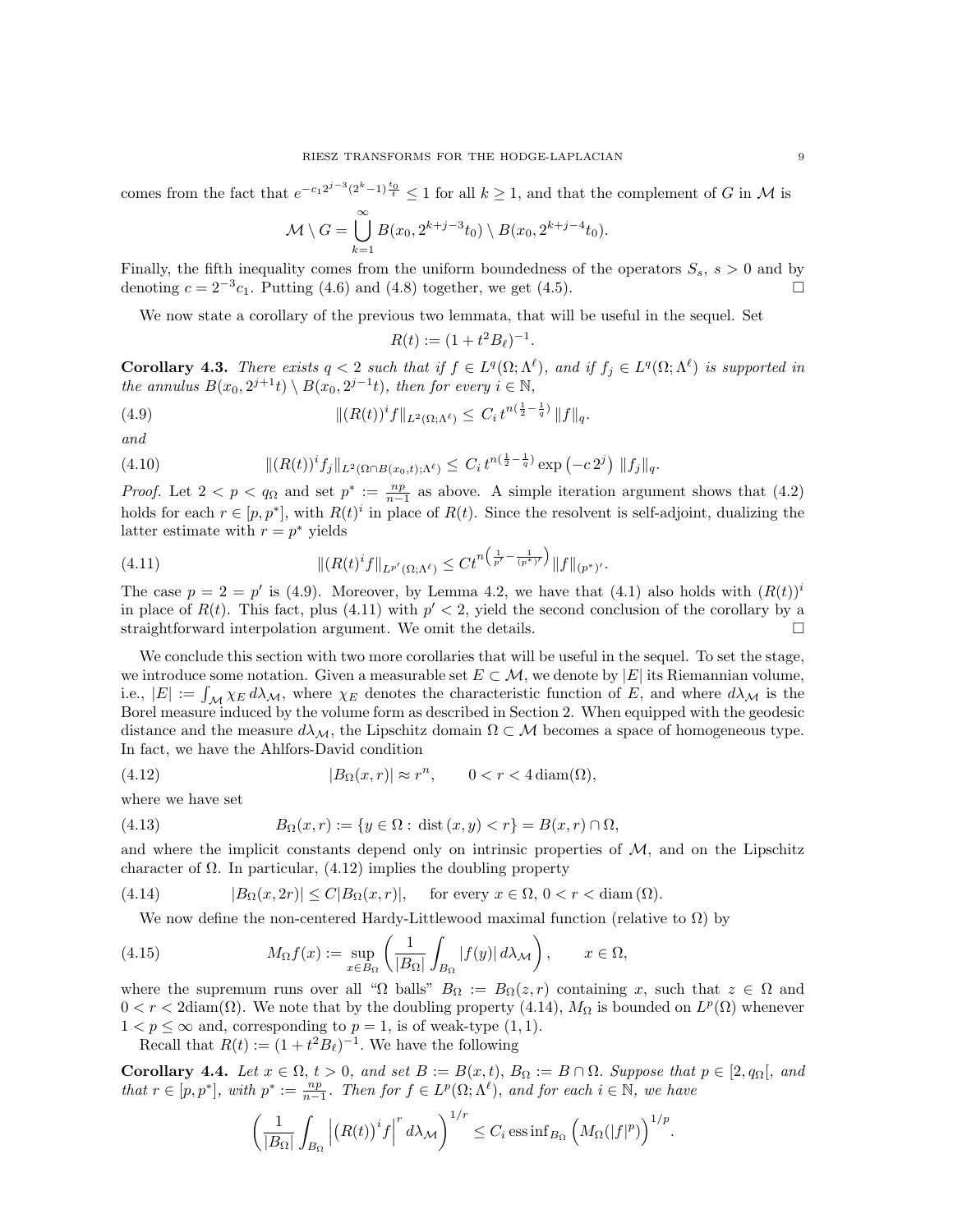comes from the fact that  $e^{-c_1 2^{j-3}(2^k-1)\frac{t_0}{t}} \leq 1$  for all  $k \geq 1$ , and that the complement of G in M is

$$
\mathcal{M}\setminus G=\bigcup_{k=1}^{\infty}B(x_0, 2^{k+j-3}t_0)\setminus B(x_0, 2^{k+j-4}t_0).
$$

Finally, the fifth inequality comes from the uniform boundedness of the operators  $S_s$ ,  $s > 0$  and by denoting  $c = 2^{-3}c_1$ . Putting (4.6) and (4.8) together, we get (4.5). □

We now state a corollary of the previous two lemmata, that will be useful in the sequel. Set

$$
R(t) := (1 + t^2 B_\ell)^{-1}.
$$

**Corollary 4.3.** There exists  $q < 2$  such that if  $f \in L^q(\Omega; \Lambda^{\ell})$ , and if  $f_j \in L^q(\Omega; \Lambda^{\ell})$  is supported in the annulus  $B(x_0, 2^{j+1}t) \setminus B(x_0, 2^{j-1}t)$ , then for every  $i \in \mathbb{N}$ ,

(4.9) 
$$
\| (R(t))^i f \|_{L^2(\Omega; \Lambda^{\ell})} \leq C_i t^{n(\frac{1}{2} - \frac{1}{q})} \| f \|_q.
$$

and

(4.10) 
$$
\| (R(t))^i f_j \|_{L^2(\Omega \cap B(x_0,t); \Lambda^{\ell})} \leq C_i t^{n(\frac{1}{2} - \frac{1}{q})} \exp(-c 2^j) \| f_j \|_q.
$$

*Proof.* Let  $2 < p < q_\Omega$  and set  $p^* := \frac{np}{n-1}$  as above. A simple iteration argument shows that (4.2) holds for each  $r \in [p, p^*]$ , with  $R(t)^i$  in place of  $R(t)$ . Since the resolvent is self-adjoint, dualizing the latter estimate with  $r = p^*$  yields

(4.11) 
$$
\| (R(t)^{i} f \|_{L^{p'}(\Omega; \Lambda^{\ell})} \leq C t^{n \left( \frac{1}{p'} - \frac{1}{(p^*)'} \right)} \| f \|_{(p^*)'}.
$$

The case  $p = 2 = p'$  is (4.9). Moreover, by Lemma 4.2, we have that (4.1) also holds with  $(R(t))^i$ in place of  $R(t)$ . This fact, plus (4.11) with  $p' < 2$ , yield the second conclusion of the corollary by a straightforward interpolation argument. We omit the details.

We conclude this section with two more corollaries that will be useful in the sequel. To set the stage, we introduce some notation. Given a measurable set  $E \subset \mathcal{M}$ , we denote by  $|E|$  its Riemannian volume, i.e.,  $|E| := \int_{\mathcal{M}} \chi_E d\lambda_{\mathcal{M}}$ , where  $\chi_E$  denotes the characteristic function of E, and where  $d\lambda_{\mathcal{M}}$  is the Borel measure induced by the volume form as described in Section 2. When equipped with the geodesic distance and the measure  $d\lambda_{\mathcal{M}}$ , the Lipschitz domain  $\Omega \subset \mathcal{M}$  becomes a space of homogeneous type. In fact, we have the Ahlfors-David condition

(4.12) 
$$
|B_{\Omega}(x,r)| \approx r^n, \qquad 0 < r < 4 \operatorname{diam}(\Omega),
$$

where we have set

(4.13) 
$$
B_{\Omega}(x,r) := \{ y \in \Omega : \text{dist}(x,y) < r \} = B(x,r) \cap \Omega,
$$

and where the implicit constants depend only on intrinsic properties of  $M$ , and on the Lipschitz character of  $\Omega$ . In particular, (4.12) implies the doubling property

(4.14) 
$$
|B_{\Omega}(x, 2r)| \le C|B_{\Omega}(x,r)|, \quad \text{for every } x \in \Omega, 0 < r < \text{diam}(\Omega).
$$

We now define the non-centered Hardy-Littlewood maximal function (relative to  $\Omega$ ) by

(4.15) 
$$
M_{\Omega}f(x) := \sup_{x \in B_{\Omega}} \left( \frac{1}{|B_{\Omega}|} \int_{B_{\Omega}} |f(y)| d\lambda_{\mathcal{M}} \right), \qquad x \in \Omega,
$$

where the supremum runs over all " $\Omega$  balls"  $B_{\Omega} := B_{\Omega}(z, r)$  containing x, such that  $z \in \Omega$  and  $0 < r < 2 \text{diam}(\Omega)$ . We note that by the doubling property (4.14),  $M_{\Omega}$  is bounded on  $L^p(\Omega)$  whenever  $1 < p \leq \infty$  and, corresponding to  $p = 1$ , is of weak-type  $(1, 1)$ .

Recall that  $R(t) := (1 + t^2 B_\ell)^{-1}$ . We have the following

Corollary 4.4. Let  $x \in \Omega$ ,  $t > 0$ , and set  $B := B(x,t)$ ,  $B_{\Omega} := B \cap \Omega$ . Suppose that  $p \in [2, q_{\Omega}],$  and that  $r \in [p, p^*]$ , with  $p^* := \frac{np}{n-1}$ . Then for  $f \in L^p(\Omega; \Lambda^{\ell})$ , and for each  $i \in \mathbb{N}$ , we have

$$
\left(\frac{1}{|B_{\Omega}|}\int_{B_{\Omega}}\left|\left(R(t)\right)^{i}f\right|^{r}d\lambda_{\mathcal{M}}\right)^{1/r}\leq C_{i}\operatorname{ess\,inf}_{B_{\Omega}}\left(M_{\Omega}(|f|^{p})\right)^{1/p}.
$$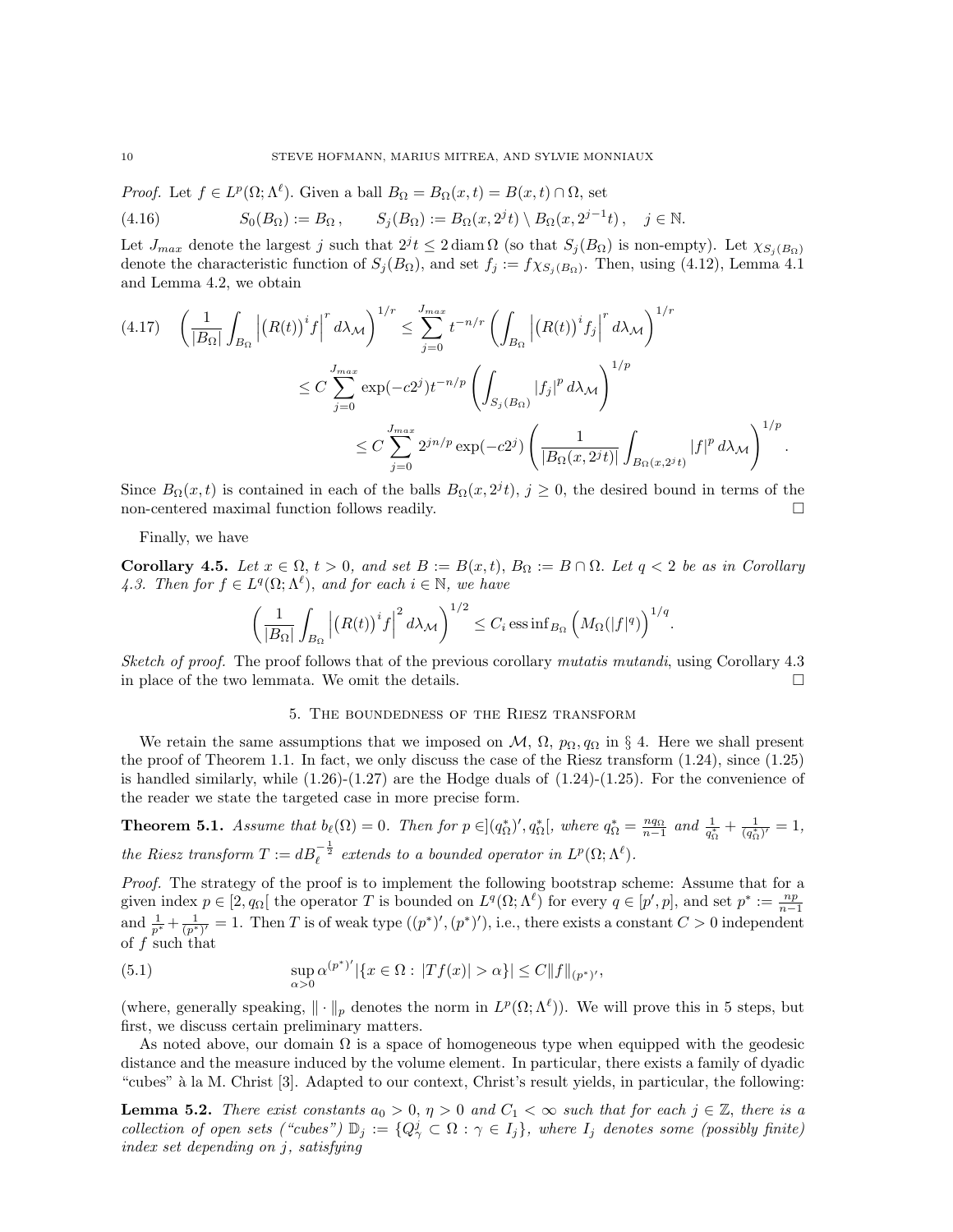*Proof.* Let  $f \in L^p(\Omega; \Lambda^\ell)$ . Given a ball  $B_\Omega = B_\Omega(x, t) = B(x, t) \cap \Omega$ , set

(4.16) 
$$
S_0(B_{\Omega}) := B_{\Omega}, \qquad S_j(B_{\Omega}) := B_{\Omega}(x, 2^{j}t) \setminus B_{\Omega}(x, 2^{j-1}t), \quad j \in \mathbb{N}.
$$

Let  $J_{max}$  denote the largest j such that  $2^{j}t \leq 2 \text{ diam }\Omega$  (so that  $S_j(B_{\Omega})$  is non-empty). Let  $\chi_{S_j(B_{\Omega})}$ denote the characteristic function of  $S_j(B_{\Omega})$ , and set  $f_j := f \chi_{S_j(B_{\Omega})}$ . Then, using (4.12), Lemma 4.1 and Lemma 4.2, we obtain

$$
(4.17) \quad \left(\frac{1}{|B_{\Omega}|}\int_{B_{\Omega}}\left|\left(R(t)\right)^{i}f\right|^{r}d\lambda_{\mathcal{M}}\right)^{1/r} \leq \sum_{j=0}^{J_{max}}t^{-n/r}\left(\int_{B_{\Omega}}\left|\left(R(t)\right)^{i}f_{j}\right|^{r}d\lambda_{\mathcal{M}}\right)^{1/r}
$$

$$
\leq C\sum_{j=0}^{J_{max}}\exp(-c2^{j})t^{-n/p}\left(\int_{S_{j}(B_{\Omega})}|f_{j}|^{p}d\lambda_{\mathcal{M}}\right)^{1/p}
$$

$$
\leq C\sum_{j=0}^{J_{max}}2^{jn/p}\exp(-c2^{j})\left(\frac{1}{|B_{\Omega}(x,2^{j}t)|}\int_{B_{\Omega}(x,2^{j}t)}|f|^{p}d\lambda_{\mathcal{M}}\right)^{1/p}.
$$

Since  $B_{\Omega}(x,t)$  is contained in each of the balls  $B_{\Omega}(x, 2^{j}t)$ ,  $j \geq 0$ , the desired bound in terms of the non-centered maximal function follows readily.

### Finally, we have

Corollary 4.5. Let  $x \in \Omega$ ,  $t > 0$ , and set  $B := B(x,t)$ ,  $B_{\Omega} := B \cap \Omega$ . Let  $q < 2$  be as in Corollary 4.3. Then for  $f \in L^q(\Omega; \Lambda^\ell)$ , and for each  $i \in \mathbb{N}$ , we have

$$
\left(\frac{1}{|B_{\Omega}|}\int_{B_{\Omega}}\left|\left(R(t)\right)^{i}f\right|^{2}d\lambda_{\mathcal{M}}\right)^{1/2}\leq C_{i}\,\mathrm{ess}\inf_{B_{\Omega}}\left(M_{\Omega}(|f|^{q})\right)^{1/q}.
$$

Sketch of proof. The proof follows that of the previous corollary mutatis mutandi, using Corollary 4.3 in place of the two lemmata. We omit the details.  $\Box$ 

### 5. The boundedness of the Riesz transform

We retain the same assumptions that we imposed on  $\mathcal{M}, \Omega, p_{\Omega}, q_{\Omega}$  in § 4. Here we shall present the proof of Theorem 1.1. In fact, we only discuss the case of the Riesz transform (1.24), since (1.25) is handled similarly, while  $(1.26)-(1.27)$  are the Hodge duals of  $(1.24)-(1.25)$ . For the convenience of the reader we state the targeted case in more precise form.

**Theorem 5.1.** Assume that  $b_{\ell}(\Omega) = 0$ . Then for  $p \in (q_{\Omega}^*)'$ ,  $q_{\Omega}^*$ , where  $q_{\Omega}^* = \frac{n q_{\Omega}}{n-1}$  and  $\frac{1}{q_{\Omega}^*} + \frac{1}{(q_{\Omega}^*)'} = 1$ , the Riesz transform  $T := dB_{\ell}^{-\frac{1}{2}}$  extends to a bounded operator in  $L^p(\Omega; \Lambda^{\ell})$ .

Proof. The strategy of the proof is to implement the following bootstrap scheme: Assume that for a given index  $p \in [2, q_{\Omega}]$  the operator T is bounded on  $L^q(\Omega; \Lambda^{\ell})$  for every  $q \in [p', p]$ , and set  $p^* := \frac{np}{n-1}$ and  $\frac{1}{p^*} + \frac{1}{(p^*)'} = 1$ . Then T is of weak type  $((p^*)', (p^*)')$ , i.e., there exists a constant  $C > 0$  independent of f such that

(5.1) 
$$
\sup_{\alpha>0} \alpha^{(p^*)'} |\{x \in \Omega : |Tf(x)| > \alpha\}| \le C \|f\|_{(p^*)'},
$$

(where, generally speaking,  $\|\cdot\|_p$  denotes the norm in  $L^p(\Omega;\Lambda^{\ell})$ ). We will prove this in 5 steps, but first, we discuss certain preliminary matters.

As noted above, our domain  $\Omega$  is a space of homogeneous type when equipped with the geodesic distance and the measure induced by the volume element. In particular, there exists a family of dyadic "cubes" à la M. Christ [3]. Adapted to our context, Christ's result yields, in particular, the following:

**Lemma 5.2.** There exist constants  $a_0 > 0$ ,  $\eta > 0$  and  $C_1 < \infty$  such that for each  $j \in \mathbb{Z}$ , there is a collection of open sets ("cubes")  $\mathbb{D}_j := \{Q^j_\gamma \subset \Omega : \gamma \in I_j\}$ , where  $I_j$  denotes some (possibly finite) index set depending on j, satisfying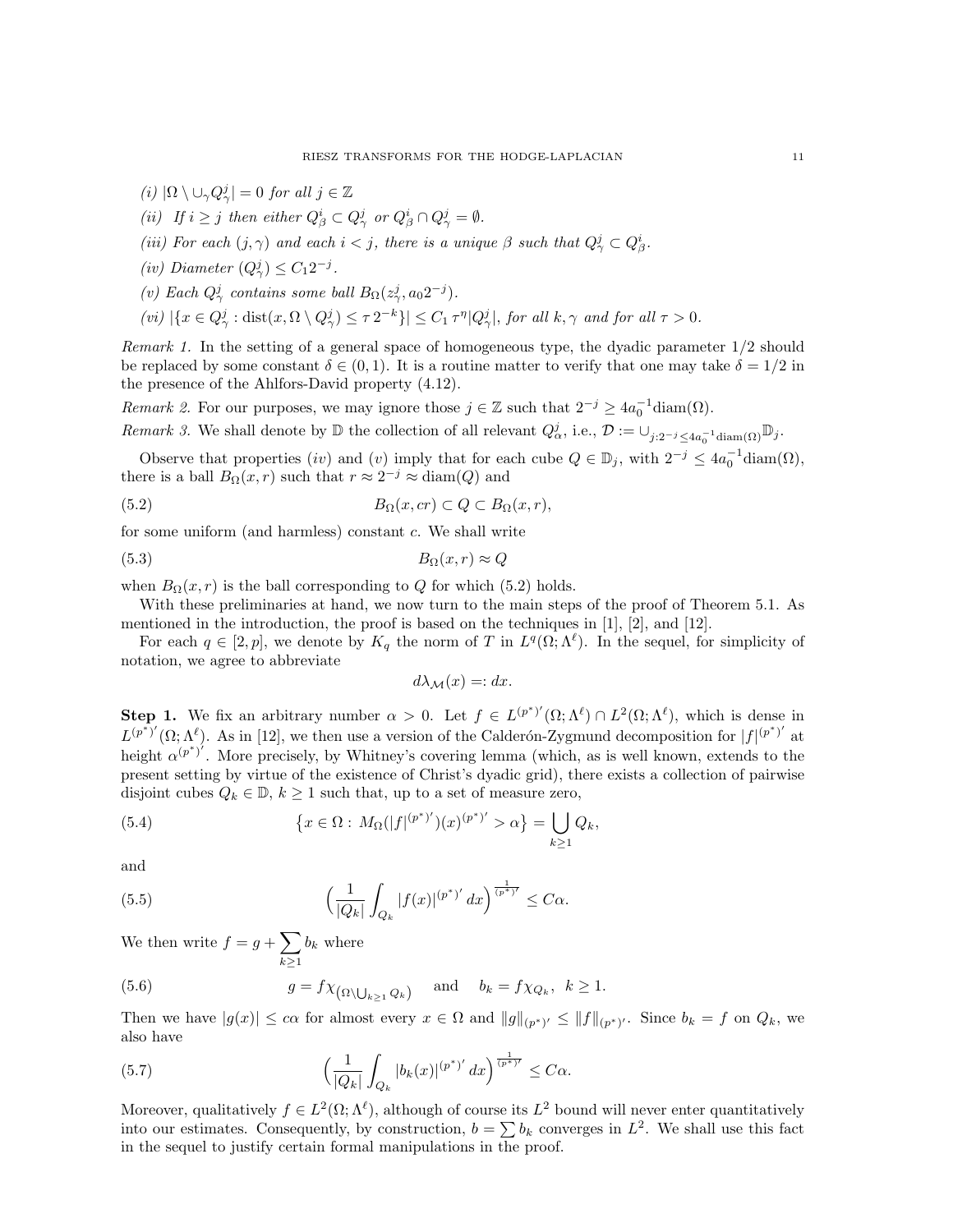- (i)  $|\Omega \setminus \cup_{\gamma} Q_{\gamma}^j| = 0$  for all  $j \in \mathbb{Z}$
- (ii) If  $i \geq j$  then either  $Q^i_\beta \subset Q^j_\gamma$  or  $Q^i_\beta \cap Q^j_\gamma = \emptyset$ .
- (iii) For each  $(j, \gamma)$  and each  $i < j$ , there is a unique  $\beta$  such that  $Q^j_{\gamma} \subset Q^i_{\beta}$ .
- (iv) Diameter  $(Q^j_\gamma) \leq C_1 2^{-j}$ .
- (v) Each  $Q^j_\gamma$  contains some ball  $B_\Omega(z^j_\gamma, a_0 2^{-j})$ .
- $f(vi) \left|\{x \in Q^j_\gamma : \text{dist}(x, \Omega \setminus Q^j_\gamma) \leq \tau 2^{-k}\}\right\| \leq C_1 \tau^{\eta} |Q^j_\gamma|$ , for all  $k, \gamma$  and for all  $\tau > 0$ .

Remark 1. In the setting of a general space of homogeneous type, the dyadic parameter 1/2 should be replaced by some constant  $\delta \in (0,1)$ . It is a routine matter to verify that one may take  $\delta = 1/2$  in the presence of the Ahlfors-David property (4.12).

Remark 2. For our purposes, we may ignore those  $j \in \mathbb{Z}$  such that  $2^{-j} \geq 4a_0^{-1}$  diam( $\Omega$ ).

Remark 3. We shall denote by  $\mathbb D$  the collection of all relevant  $Q^j_\alpha$ , i.e.,  $\mathcal D := \cup_{j:2^{-j} \le 4a_0^{-1} \text{diam}(\Omega)} \mathbb D_j$ .

Observe that properties (iv) and (v) imply that for each cube  $Q \in \mathbb{D}_j$ , with  $2^{-j} \leq 4a_0^{-1}$ diam( $\Omega$ ), there is a ball  $B_{\Omega}(x,r)$  such that  $r \approx 2^{-j} \approx \text{diam}(Q)$  and

(5.2) 
$$
B_{\Omega}(x,cr) \subset Q \subset B_{\Omega}(x,r),
$$

for some uniform (and harmless) constant c. We shall write

$$
(5.3) \t\t B_{\Omega}(x,r) \approx Q
$$

when  $B_{\Omega}(x, r)$  is the ball corresponding to Q for which (5.2) holds.

With these preliminaries at hand, we now turn to the main steps of the proof of Theorem 5.1. As mentioned in the introduction, the proof is based on the techniques in [1], [2], and [12].

For each  $q \in [2, p]$ , we denote by  $K_q$  the norm of T in  $L^q(\Omega; \Lambda^{\ell})$ . In the sequel, for simplicity of notation, we agree to abbreviate

$$
d\lambda_{\mathcal{M}}(x) =: dx.
$$

**Step 1.** We fix an arbitrary number  $\alpha > 0$ . Let  $f \in L^{(p^*)'}(\Omega; \Lambda^{\ell}) \cap L^2(\Omega; \Lambda^{\ell})$ , which is dense in  $L^{(p^*)'}(\Omega;\Lambda^{\ell})$ . As in [12], we then use a version of the Calderón-Zygmund decomposition for  $|f|^{(p^*)'}$  at height  $\alpha^{(p^*)'}$ . More precisely, by Whitney's covering lemma (which, as is well known, extends to the present setting by virtue of the existence of Christ's dyadic grid), there exists a collection of pairwise disjoint cubes  $Q_k \in \mathbb{D}$ ,  $k \geq 1$  such that, up to a set of measure zero,

(5.4) 
$$
\{x \in \Omega : M_{\Omega}(|f|^{(p^*)'}) (x)^{(p^*)'} > \alpha\} = \bigcup_{k \ge 1} Q_k,
$$

and

(5.5) 
$$
\left(\frac{1}{|Q_k|}\int_{Q_k} |f(x)|^{(p^*)'} dx\right)^{\frac{1}{(p^*)'}} \leq C\alpha.
$$

We then write  $f = g + \sum$  $k \geq 1$  $b_k$  where

(5.6) 
$$
g = f \chi_{\left(\Omega \setminus \bigcup_{k \ge 1} Q_k\right)} \quad \text{and} \quad b_k = f \chi_{Q_k}, \quad k \ge 1.
$$

Then we have  $|g(x)| \leq c\alpha$  for almost every  $x \in \Omega$  and  $||g||_{(p^*)'} \leq ||f||_{(p^*)'}$ . Since  $b_k = f$  on  $Q_k$ , we also have

(5.7) 
$$
\left(\frac{1}{|Q_k|}\int_{Q_k} |b_k(x)|^{(p^*)'} dx\right)^{\frac{1}{(p^*)'}} \leq C\alpha.
$$

Moreover, qualitatively  $f \in L^2(\Omega; \Lambda^{\ell})$ , although of course its  $L^2$  bound will never enter quantitatively into our estimates. Consequently, by construction,  $b = \sum b_k$  converges in  $L^2$ . We shall use this fact in the sequel to justify certain formal manipulations in the proof.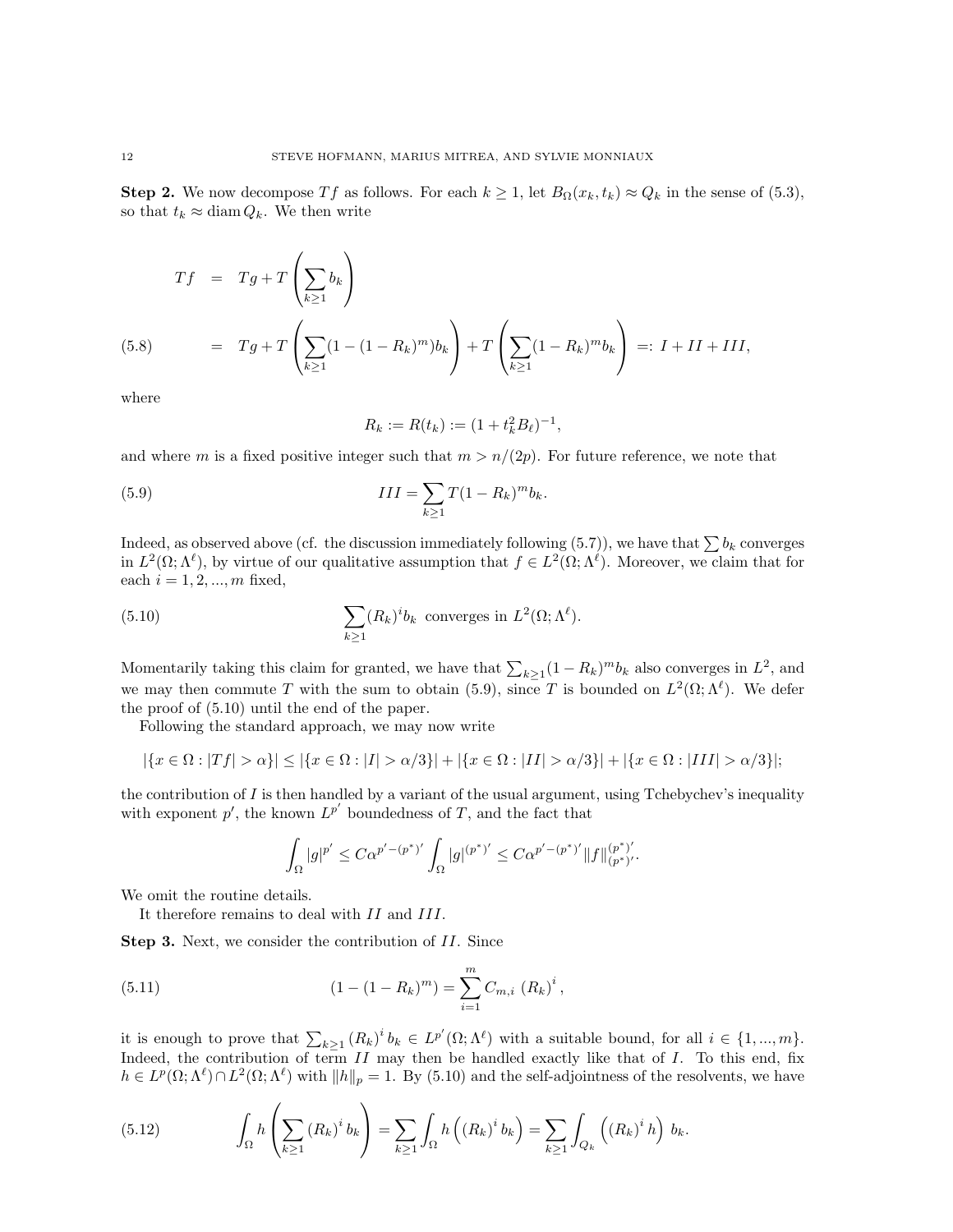Step 2. We now decompose Tf as follows. For each  $k \geq 1$ , let  $B_{\Omega}(x_k, t_k) \approx Q_k$  in the sense of (5.3), so that  $t_k \approx \text{diam } Q_k$ . We then write

(5.8) 
$$
Tf = Tg + T\left(\sum_{k\geq 1} b_k\right)
$$

$$
= Tg + T\left(\sum_{k\geq 1} (1 - (1 - R_k)^m) b_k\right) + T\left(\sum_{k\geq 1} (1 - R_k)^m b_k\right) =: I + II + III,
$$

where

$$
R_k := R(t_k) := (1 + t_k^2 B_\ell)^{-1},
$$

and where m is a fixed positive integer such that  $m > n/(2p)$ . For future reference, we note that

(5.9) 
$$
III = \sum_{k \ge 1} T(1 - R_k)^m b_k.
$$

Indeed, as observed above (cf. the discussion immediately following (5.7)), we have that  $\sum b_k$  converges in  $L^2(\Omega;\Lambda^{\ell})$ , by virtue of our qualitative assumption that  $f \in L^2(\Omega;\Lambda^{\ell})$ . Moreover, we claim that for each  $i = 1, 2, ..., m$  fixed,

(5.10) 
$$
\sum_{k\geq 1} (R_k)^i b_k
$$
 converges in  $L^2(\Omega; \Lambda^{\ell})$ .

Momentarily taking this claim for granted, we have that  $\sum_{k\geq 1} (1 - R_k)^m b_k$  also converges in  $L^2$ , and we may then commute T with the sum to obtain (5.9), since T is bounded on  $L^2(\Omega; \Lambda^{\ell})$ . We defer the proof of (5.10) until the end of the paper.

Following the standard approach, we may now write

$$
|\{x \in \Omega : |Tf| > \alpha\}| \le |\{x \in \Omega : |I| > \alpha/3\}| + |\{x \in \Omega : |II| > \alpha/3\}| + |\{x \in \Omega : |III| > \alpha/3\}|;
$$

the contribution of  $I$  is then handled by a variant of the usual argument, using Tchebychev's inequality with exponent  $p'$ , the known  $L^{p'}$  boundedness of T, and the fact that

$$
\int_{\Omega}|g|^{p'}\leq C\alpha^{p'-(p^*)'}\int_{\Omega}|g|^{(p^*)'}\leq C\alpha^{p'-(p^*)'}\|f\|^{(p^*)'}_{(p^*)'}.
$$

We omit the routine details.

It therefore remains to deal with II and III.

Step 3. Next, we consider the contribution of II. Since

(5.11) 
$$
(1 - (1 - R_k)^m) = \sum_{i=1}^m C_{m,i} (R_k)^i,
$$

it is enough to prove that  $\sum_{k\geq 1} (R_k)^i b_k \in L^{p'}(\Omega;\Lambda^{\ell})$  with a suitable bound, for all  $i \in \{1, ..., m\}$ . Indeed, the contribution of term  $II$  may then be handled exactly like that of  $I$ . To this end, fix  $h \in L^p(\Omega; \Lambda^\ell) \cap L^2(\Omega; \Lambda^\ell)$  with  $||h||_p = 1$ . By (5.10) and the self-adjointness of the resolvents, we have

(5.12) 
$$
\int_{\Omega} h\left(\sum_{k\geq 1} (R_k)^{i} b_k\right) = \sum_{k\geq 1} \int_{\Omega} h\left((R_k)^{i} b_k\right) = \sum_{k\geq 1} \int_{Q_k} \left((R_k)^{i} h\right) b_k.
$$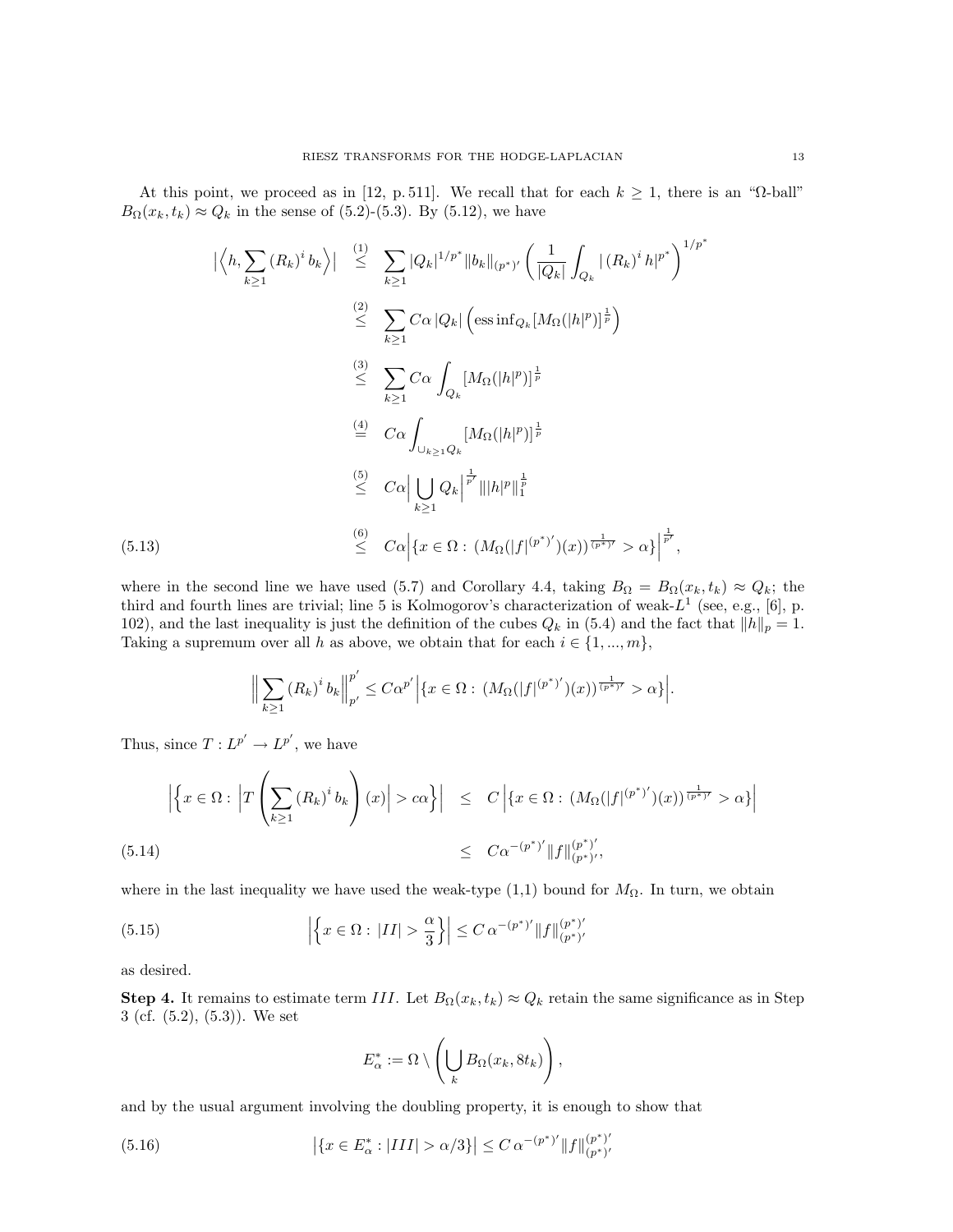At this point, we proceed as in [12, p. 511]. We recall that for each  $k \ge 1$ , there is an " $\Omega$ -ball"  $B_{\Omega}(x_k, t_k) \approx Q_k$  in the sense of (5.2)-(5.3). By (5.12), we have

$$
\left| \left\langle h, \sum_{k \geq 1} (R_k)^i b_k \right\rangle \right| \leq \sum_{k \geq 1} |Q_k|^{1/p^*} \|b_k\|_{(p^*)'} \left( \frac{1}{|Q_k|} \int_{Q_k} |(R_k)^i h|^{p^*} \right)^{1/p^*}
$$
  
\n
$$
\leq \sum_{k \geq 1} C\alpha |Q_k| \left( \operatorname{ess\,inf}_{Q_k} [M_\Omega(|h|^p)]^{\frac{1}{p}} \right)
$$
  
\n
$$
\leq \sum_{k \geq 1} C\alpha \int_{Q_k} [M_\Omega(|h|^p)]^{\frac{1}{p}}
$$
  
\n
$$
\leq C\alpha \int_{\bigcup_{k \geq 1} Q_k} [M_\Omega(|h|^p)]^{\frac{1}{p}}
$$
  
\n
$$
\leq C\alpha \left| \bigcup_{k \geq 1} Q_k \right|^{\frac{1}{p'}} \| |h|^p \|_1^{\frac{1}{p}}
$$
  
\n(5.13)  
\n
$$
\leq C\alpha \left| \{ x \in \Omega : (M_\Omega(|f|^{(p^*)'})(x))^{\frac{1}{(p^*)}} > \alpha \} \right|^{\frac{1}{p'}},
$$

where in the second line we have used (5.7) and Corollary 4.4, taking  $B_{\Omega} = B_{\Omega}(x_k, t_k) \approx Q_k$ ; the third and fourth lines are trivial; line 5 is Kolmogorov's characterization of weak- $L^1$  (see, e.g., [6], p. 102), and the last inequality is just the definition of the cubes  $Q_k$  in (5.4) and the fact that  $||h||_p = 1$ . Taking a supremum over all h as above, we obtain that for each  $i \in \{1, ..., m\}$ ,

$$
\Big\|\sum_{k\geq 1} (R_k)^i b_k \Big\|_{p'}^{p'} \leq C\alpha^{p'} \Big|\{x\in \Omega:\,(M_{\Omega}(|f|^{(p^*)'})(x))^{\frac{1}{(p^*)'}} > \alpha\}\Big|.
$$

Thus, since  $T: L^{p'} \to L^{p'}$ , we have

$$
\left| \left\{ x \in \Omega : \left| T \left( \sum_{k \ge 1} (R_k)^i b_k \right) (x) \right| > c\alpha \right\} \right| \le C \left| \left\{ x \in \Omega : (M_\Omega(|f|^{(p^*)'}) (x))^\frac{1}{(p^*)'} > \alpha \right\} \right|
$$
\n
$$
\le C\alpha^{-(p^*)'} \|f\|_{(p^*)'}^{(p^*)'},
$$
\n(5.14)

where in the last inequality we have used the weak-type  $(1,1)$  bound for  $M_{\Omega}$ . In turn, we obtain

(5.15) 
$$
\left| \left\{ x \in \Omega : |II| > \frac{\alpha}{3} \right\} \right| \leq C \, \alpha^{-(p^*)'} \| f \|_{(p^*)'}^{(p^*)'}
$$

as desired.

Step 4. It remains to estimate term III. Let  $B_{\Omega}(x_k, t_k) \approx Q_k$  retain the same significance as in Step 3 (cf. (5.2), (5.3)). We set

$$
E_{\alpha}^* := \Omega \setminus \left( \bigcup_{k} B_{\Omega}(x_k, 8t_k) \right),
$$

and by the usual argument involving the doubling property, it is enough to show that

(5.16) 
$$
\left| \{ x \in E_{\alpha}^* : |III| > \alpha/3 \} \right| \leq C \, \alpha^{-(p^*)'} \| f \|_{(p^*)'}^{(p^*)'}
$$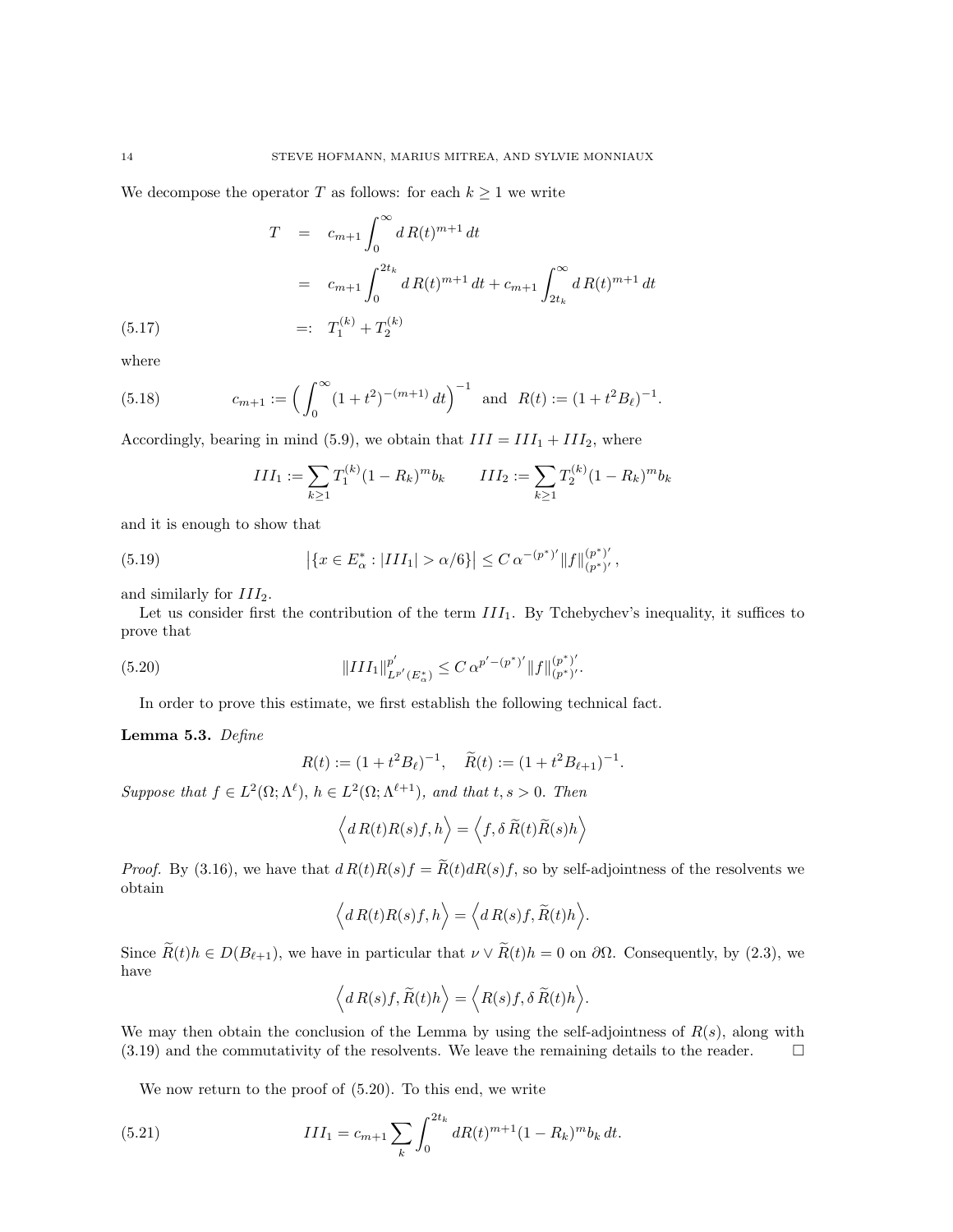We decompose the operator  $T$  as follows: for each  $k \geq 1$  we write

$$
T = c_{m+1} \int_0^{\infty} dR(t)^{m+1} dt
$$
  
=  $c_{m+1} \int_0^{2t_k} dR(t)^{m+1} dt + c_{m+1} \int_{2t_k}^{\infty} dR(t)^{m+1} dt$   
=:  $T_1^{(k)} + T_2^{(k)}$ 

where

(5.17)

(5.18) 
$$
c_{m+1} := \left(\int_0^\infty (1+t^2)^{-(m+1)} dt\right)^{-1} \text{ and } R(t) := (1+t^2 B_\ell)^{-1}.
$$

Accordingly, bearing in mind (5.9), we obtain that  $III = III_1 + III_2$ , where

$$
III_1 := \sum_{k \ge 1} T_1^{(k)} (1 - R_k)^m b_k \qquad III_2 := \sum_{k \ge 1} T_2^{(k)} (1 - R_k)^m b_k
$$

and it is enough to show that

(5.19) 
$$
\left| \{ x \in E_{\alpha}^* : |III_1| > \alpha/6 \} \right| \leq C \, \alpha^{-(p^*)'} \| f \|_{(p^*)'}^{(p^*)'},
$$

and similarly for  $III<sub>2</sub>$ .

Let us consider first the contribution of the term  $III_1$ . By Tchebychev's inequality, it suffices to prove that

(5.20) 
$$
||III_1||_{L^{p'}(E^*_{\alpha})}^{p'} \leq C \alpha^{p'-(p^*)'} ||f||_{(p^*)'}^{(p^*)'}.
$$

In order to prove this estimate, we first establish the following technical fact.

Lemma 5.3. Define

$$
R(t) := (1 + t^2 B_\ell)^{-1}, \quad \widetilde{R}(t) := (1 + t^2 B_{\ell+1})^{-1}.
$$

Suppose that  $f \in L^2(\Omega; \Lambda^{\ell}), h \in L^2(\Omega; \Lambda^{\ell+1}),$  and that  $t, s > 0$ . Then

$$
\langle dR(t)R(s)f,h\rangle = \langle f,\delta \widetilde{R}(t)\widetilde{R}(s)h\rangle
$$

*Proof.* By (3.16), we have that  $dR(t)R(s)f = \widetilde{R}(t)dR(s)f$ , so by self-adjointness of the resolvents we obtain

$$
\left\langle d\,R(t)R(s)f,h\right\rangle = \left\langle d\,R(s)f,\widetilde{R}(t)h\right\rangle.
$$

Since  $\widetilde{R}(t)h \in D(B_{\ell+1}),$  we have in particular that  $\nu \vee \widetilde{R}(t)h = 0$  on  $\partial\Omega$ . Consequently, by (2.3), we have

$$
\left\langle d\,R(s)f,\widetilde{R}(t)h\right\rangle = \left\langle R(s)f,\delta\,\widetilde{R}(t)h\right\rangle.
$$

We may then obtain the conclusion of the Lemma by using the self-adjointness of  $R(s)$ , along with  $(3.19)$  and the commutativity of the resolvents. We leave the remaining details to the reader.  $\square$ 

We now return to the proof of (5.20). To this end, we write

(5.21) 
$$
III_1 = c_{m+1} \sum_{k} \int_0^{2t_k} dR(t)^{m+1} (1 - R_k)^m b_k dt.
$$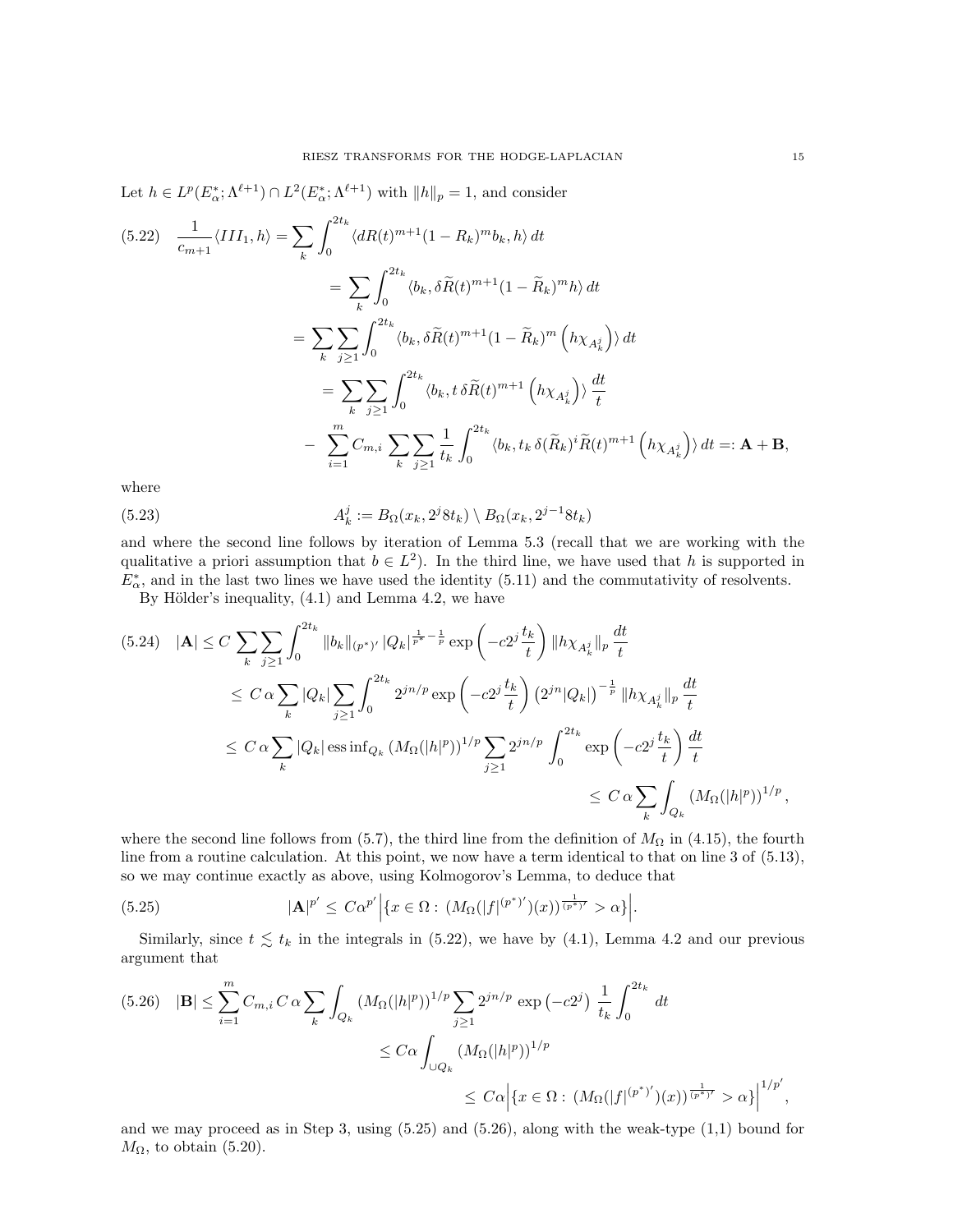Let  $h \in L^p(E_\alpha^*, \Lambda^{\ell+1}) \cap L^2(E_\alpha^*, \Lambda^{\ell+1})$  with  $||h||_p = 1$ , and consider

$$
(5.22) \frac{1}{c_{m+1}} \langle III_1, h \rangle = \sum_{k} \int_0^{2t_k} \langle dR(t)^{m+1} (1 - R_k)^m b_k, h \rangle dt
$$
  

$$
= \sum_{k} \int_0^{2t_k} \langle b_k, \delta \tilde{R}(t)^{m+1} (1 - \tilde{R}_k)^m h \rangle dt
$$
  

$$
= \sum_{k} \sum_{j \ge 1} \int_0^{2t_k} \langle b_k, \delta \tilde{R}(t)^{m+1} (1 - \tilde{R}_k)^m (h \chi_{A_k^j}) \rangle dt
$$
  

$$
= \sum_{k} \sum_{j \ge 1} \int_0^{2t_k} \langle b_k, t \delta \tilde{R}(t)^{m+1} (h \chi_{A_k^j}) \rangle \frac{dt}{t}
$$
  

$$
- \sum_{i=1}^m C_{m,i} \sum_{k} \sum_{j \ge 1} \frac{1}{t_k} \int_0^{2t_k} \langle b_k, t_k \delta (\tilde{R}_k)^i \tilde{R}(t)^{m+1} (h \chi_{A_k^j}) \rangle dt =: \mathbf{A} + \mathbf{B},
$$

where

(5.23) 
$$
A_k^j := B_{\Omega}(x_k, 2^j 8t_k) \setminus B_{\Omega}(x_k, 2^{j-1} 8t_k)
$$

and where the second line follows by iteration of Lemma 5.3 (recall that we are working with the qualitative a priori assumption that  $b \in L^2$ ). In the third line, we have used that h is supported in  $E_{\alpha}^*$ , and in the last two lines we have used the identity (5.11) and the commutativity of resolvents.

By Hölder's inequality,  $(4.1)$  and Lemma 4.2, we have

$$
(5.24) \quad |\mathbf{A}| \leq C \sum_{k} \sum_{j\geq 1} \int_{0}^{2t_{k}} \|b_{k}\|_{(p^{*})'} |Q_{k}|^{\frac{1}{p^{*}} - \frac{1}{p}} \exp\left(-c2^{j} \frac{t_{k}}{t}\right) \|h\chi_{A_{k}^{j}}\|_{p} \frac{dt}{t}
$$
  
\n
$$
\leq C \alpha \sum_{k} |Q_{k}| \sum_{j\geq 1} \int_{0}^{2t_{k}} 2^{jn/p} \exp\left(-c2^{j} \frac{t_{k}}{t}\right) (2^{jn} |Q_{k}|)^{-\frac{1}{p}} \|h\chi_{A_{k}^{j}}\|_{p} \frac{dt}{t}
$$
  
\n
$$
\leq C \alpha \sum_{k} |Q_{k}| \operatorname{ess} \inf_{Q_{k}} (M_{\Omega}(|h|^{p}))^{1/p} \sum_{j\geq 1} 2^{jn/p} \int_{0}^{2t_{k}} \exp\left(-c2^{j} \frac{t_{k}}{t}\right) \frac{dt}{t}
$$
  
\n
$$
\leq C \alpha \sum_{k} \int_{Q_{k}} (M_{\Omega}(|h|^{p}))^{1/p},
$$

where the second line follows from (5.7), the third line from the definition of  $M_{\Omega}$  in (4.15), the fourth line from a routine calculation. At this point, we now have a term identical to that on line 3 of (5.13), so we may continue exactly as above, using Kolmogorov's Lemma, to deduce that

(5.25) 
$$
|\mathbf{A}|^{p'} \leq C\alpha^{p'} \Big| \{x \in \Omega : (M_{\Omega}(|f|^{(p^*)'})(x))^{\frac{1}{(p^*)'}} > \alpha \} \Big|.
$$

Similarly, since  $t \leq t_k$  in the integrals in (5.22), we have by (4.1), Lemma 4.2 and our previous argument that

$$
(5.26) \quad |\mathbf{B}| \le \sum_{i=1}^{m} C_{m,i} C \alpha \sum_{k} \int_{Q_{k}} \left( M_{\Omega}(|h|^{p}) \right)^{1/p} \sum_{j\ge 1} 2^{jn/p} \exp\left( -c2^{j} \right) \frac{1}{t_{k}} \int_{0}^{2t_{k}} dt
$$

$$
\le C \alpha \int_{\cup Q_{k}} \left( M_{\Omega}(|h|^{p}) \right)^{1/p}
$$

$$
\le C \alpha \left| \left\{ x \in \Omega : \left( M_{\Omega}(|f|^{(p^{*})'})(x) \right)^{\frac{1}{(p^{*})'}} > \alpha \right\} \right|^{1/p'}
$$

and we may proceed as in Step 3, using  $(5.25)$  and  $(5.26)$ , along with the weak-type  $(1,1)$  bound for  $M_{\Omega}$ , to obtain (5.20).

,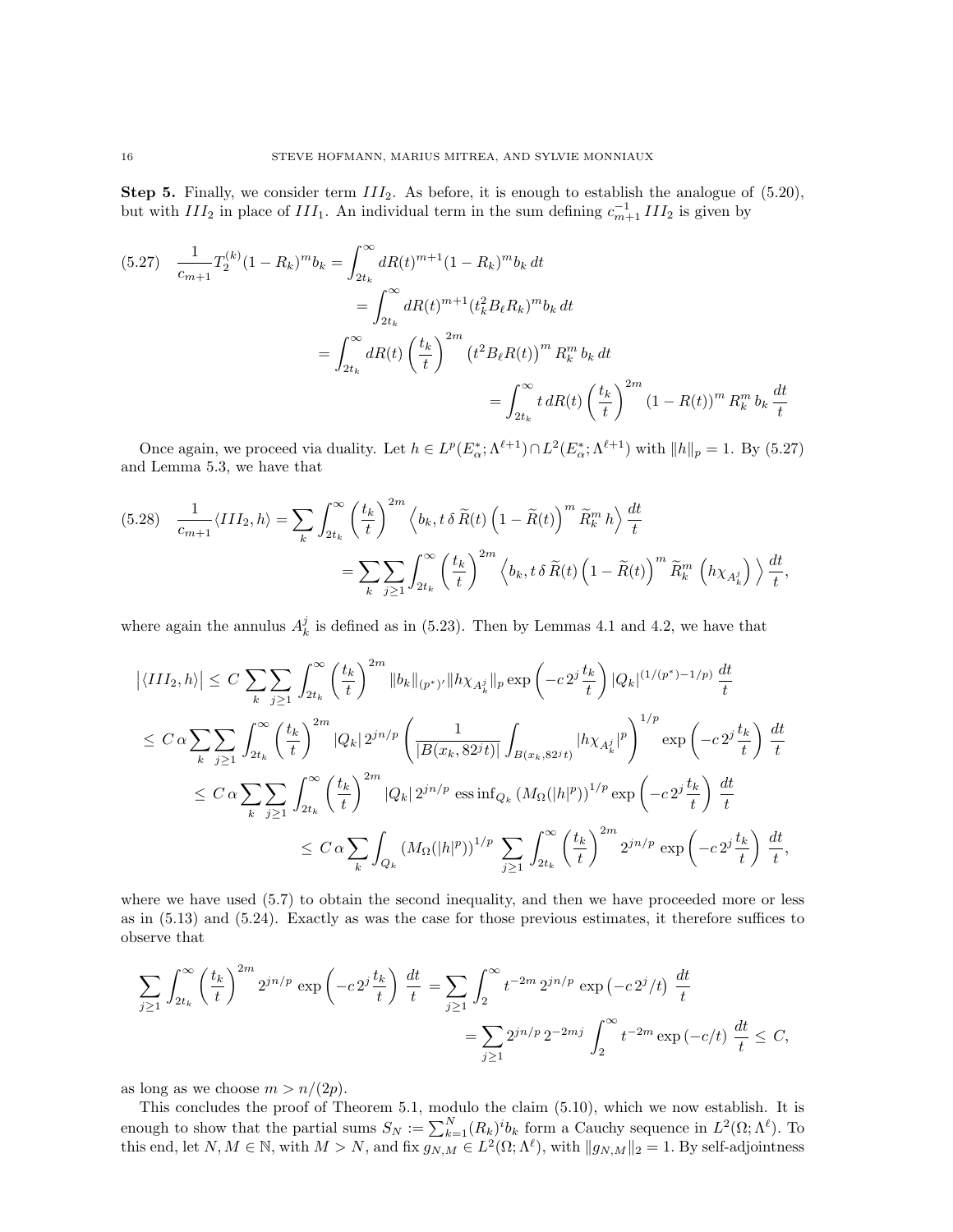Step 5. Finally, we consider term  $III_2$ . As before, it is enough to establish the analogue of (5.20), but with  $III_2$  in place of  $III_1$ . An individual term in the sum defining  $c_{m+1}^{-1}III_2$  is given by

$$
(5.27) \frac{1}{c_{m+1}} T_2^{(k)} (1 - R_k)^m b_k = \int_{2t_k}^{\infty} dR(t)^{m+1} (1 - R_k)^m b_k dt
$$
  

$$
= \int_{2t_k}^{\infty} dR(t)^{m+1} (t_k^2 B_\ell R_k)^m b_k dt
$$
  

$$
= \int_{2t_k}^{\infty} dR(t) \left(\frac{t_k}{t}\right)^{2m} (t^2 B_\ell R(t))^m R_k^m b_k dt
$$
  

$$
= \int_{2t_k}^{\infty} t dR(t) \left(\frac{t_k}{t}\right)^{2m} (1 - R(t))^m R_k^m b_k \frac{dt}{t}
$$

Once again, we proceed via duality. Let  $h \in L^p(E_\alpha^*; \Lambda^{\ell+1}) \cap L^2(E_\alpha^*, \Lambda^{\ell+1})$  with  $||h||_p = 1$ . By (5.27) and Lemma 5.3, we have that

$$
(5.28) \quad \frac{1}{c_{m+1}} \langle III_2, h \rangle = \sum_{k} \int_{2t_k}^{\infty} \left(\frac{t_k}{t}\right)^{2m} \left\langle b_k, t \, \delta \, \widetilde{R}(t) \left(1 - \widetilde{R}(t)\right)^m \widetilde{R}_k^m h \right\rangle \frac{dt}{t}
$$

$$
= \sum_{k} \sum_{j \ge 1} \int_{2t_k}^{\infty} \left(\frac{t_k}{t}\right)^{2m} \left\langle b_k, t \, \delta \, \widetilde{R}(t) \left(1 - \widetilde{R}(t)\right)^m \widetilde{R}_k^m \left(h \chi_{A_k^j}\right) \right\rangle \frac{dt}{t},
$$

where again the annulus  $A_k^j$  is defined as in (5.23). Then by Lemmas 4.1 and 4.2, we have that

$$
\begin{split}\n\left| \langle III_{2}, h \rangle \right| &\leq C \sum_{k} \sum_{j\geq 1} \int_{2t_{k}}^{\infty} \left( \frac{t_{k}}{t} \right)^{2m} \|b_{k}\|_{(p^{*})'} \|h \chi_{A_{k}^{j}}\|_{p} \exp\left(-c2^{j} \frac{t_{k}}{t}\right) |Q_{k}|^{(1/(p^{*})-1/p)} \frac{dt}{t} \\
&\leq C \alpha \sum_{k} \sum_{j\geq 1} \int_{2t_{k}}^{\infty} \left( \frac{t_{k}}{t} \right)^{2m} |Q_{k}| 2^{jn/p} \left( \frac{1}{|B(x_{k}, 82^{j}t)|} \int_{B(x_{k}, 82^{j}t)} |h \chi_{A_{k}^{j}}|^{p} \right)^{1/p} \exp\left(-c2^{j} \frac{t_{k}}{t}\right) \frac{dt}{t} \\
&\leq C \alpha \sum_{k} \sum_{j\geq 1} \int_{2t_{k}}^{\infty} \left( \frac{t_{k}}{t} \right)^{2m} |Q_{k}| 2^{jn/p} \cos \inf_{Q_{k}} (M_{\Omega}(|h|^{p}))^{1/p} \exp\left(-c2^{j} \frac{t_{k}}{t}\right) \frac{dt}{t} \\
&\leq C \alpha \sum_{k} \int_{Q_{k}} (M_{\Omega}(|h|^{p}))^{1/p} \sum_{j\geq 1} \int_{2t_{k}}^{\infty} \left( \frac{t_{k}}{t} \right)^{2m} 2^{jn/p} \exp\left(-c2^{j} \frac{t_{k}}{t}\right) \frac{dt}{t},\n\end{split}
$$

where we have used  $(5.7)$  to obtain the second inequality, and then we have proceeded more or less as in (5.13) and (5.24). Exactly as was the case for those previous estimates, it therefore suffices to observe that

$$
\sum_{j\geq 1} \int_{2t_k}^{\infty} \left(\frac{t_k}{t}\right)^{2m} 2^{jn/p} \exp\left(-c 2^j \frac{t_k}{t}\right) \frac{dt}{t} = \sum_{j\geq 1} \int_2^{\infty} t^{-2m} 2^{jn/p} \exp\left(-c 2^j/t\right) \frac{dt}{t}
$$

$$
= \sum_{j\geq 1} 2^{jn/p} 2^{-2mj} \int_2^{\infty} t^{-2m} \exp\left(-c/t\right) \frac{dt}{t} \leq C,
$$

as long as we choose  $m > n/(2p)$ .

This concludes the proof of Theorem 5.1, modulo the claim (5.10), which we now establish. It is enough to show that the partial sums  $S_N := \sum_{k=1}^N (R_k)^i b_k$  form a Cauchy sequence in  $L^2(\Omega; \Lambda^{\ell})$ . To this end, let  $N, M \in \mathbb{N}$ , with  $M > N$ , and fix  $g_{N,M} \in L^2(\Omega; \Lambda^{\ell})$ , with  $||g_{N,M}||_2 = 1$ . By self-adjointness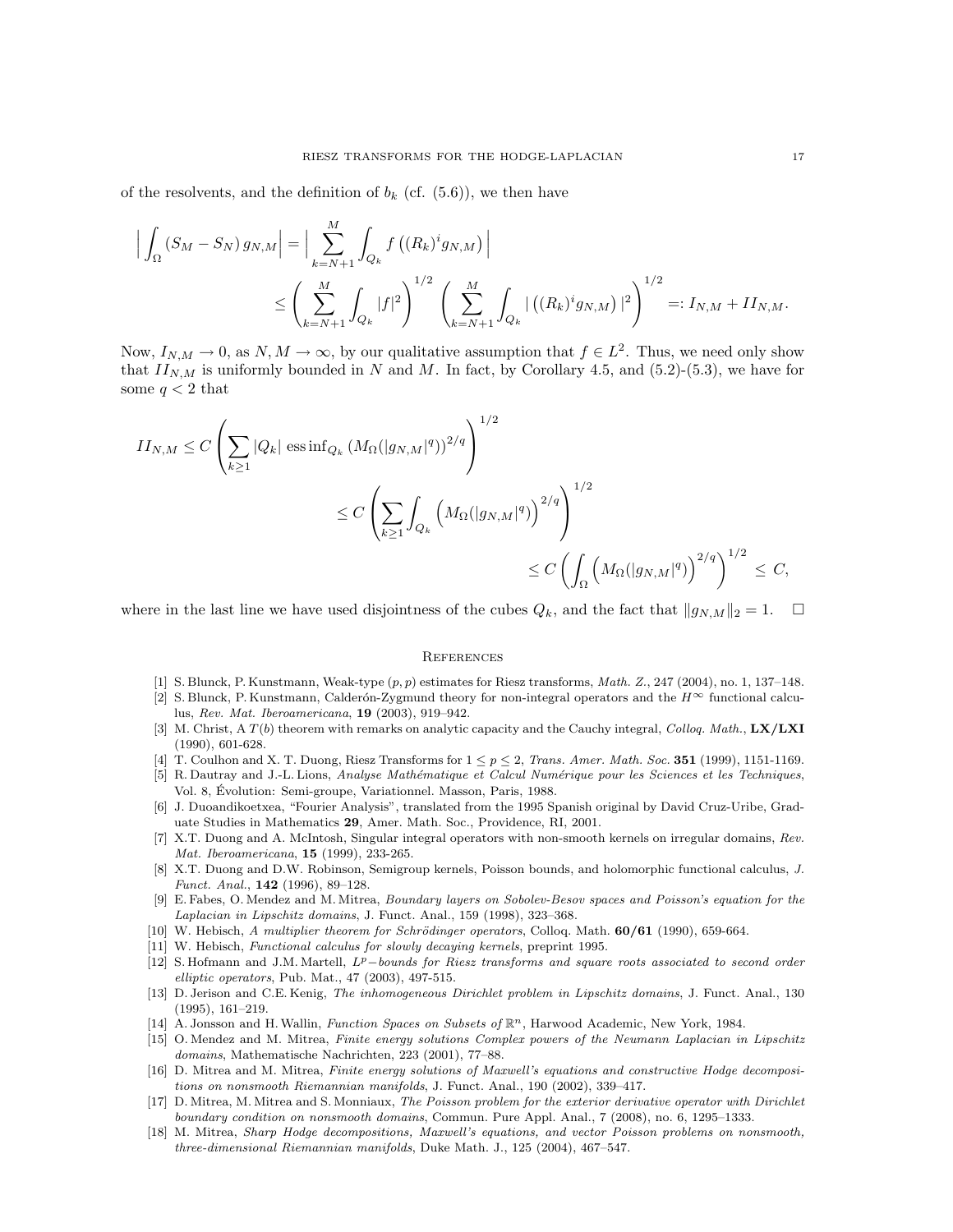of the resolvents, and the definition of  $b_k$  (cf. (5.6)), we then have

$$
\Big| \int_{\Omega} (S_M - S_N) g_{N,M} \Big| = \Big| \sum_{k=N+1}^{M} \int_{Q_k} f \left( (R_k)^i g_{N,M} \right) \Big|
$$
  

$$
\leq \left( \sum_{k=N+1}^{M} \int_{Q_k} |f|^2 \right)^{1/2} \left( \sum_{k=N+1}^{M} \int_{Q_k} | \left( (R_k)^i g_{N,M} \right) |^2 \right)^{1/2} =: I_{N,M} + II_{N,M}.
$$

Now,  $I_{N,M} \to 0$ , as  $N, M \to \infty$ , by our qualitative assumption that  $f \in L^2$ . Thus, we need only show that  $II_{N,M}$  is uniformly bounded in N and M. In fact, by Corollary 4.5, and (5.2)-(5.3), we have for some  $q < 2$  that

$$
\begin{split} II_{N,M} &\leq C \left( \sum_{k\geq 1} |Q_k| \, \operatorname{ess\,inf}_{Q_k} \big(M_{\Omega}(|g_{N,M}|^q)\big)^{2/q} \right)^{1/2} \\ &\leq C \left( \sum_{k\geq 1} \int_{Q_k} \Big(M_{\Omega}(|g_{N,M}|^q)\Big)^{2/q} \right)^{1/2} \\ &\leq C \left( \int_{\Omega} \Big(M_{\Omega}(|g_{N,M}|^q)\Big)^{2/q} \right)^{1/2} \leq C, \end{split}
$$

where in the last line we have used disjointness of the cubes  $Q_k$ , and the fact that  $||g_{N,M}||_2 = 1$ .  $\square$ 

#### **REFERENCES**

- [1] S. Blunck, P. Kunstmann, Weak-type (p, p) estimates for Riesz transforms, Math. Z., 247 (2004), no. 1, 137–148.
- [2] S. Blunck, P. Kunstmann, Calderón-Zygmund theory for non-integral operators and the  $H^{\infty}$  functional calculus, Rev. Mat. Iberoamericana, 19 (2003), 919–942.
- [3] M. Christ, A  $T(b)$  theorem with remarks on analytic capacity and the Cauchy integral, Colloq. Math., LX/LXI (1990), 601-628.
- [4] T. Coulhon and X. T. Duong, Riesz Transforms for  $1 \leq p \leq 2$ , Trans. Amer. Math. Soc. 351 (1999), 1151-1169.
- [5] R. Dautray and J.-L. Lions, Analyse Mathématique et Calcul Numérique pour les Sciences et les Techniques, Vol. 8, Evolution: Semi-groupe, Variationnel. Masson, Paris, 1988. ´
- [6] J. Duoandikoetxea, "Fourier Analysis", translated from the 1995 Spanish original by David Cruz-Uribe, Graduate Studies in Mathematics 29, Amer. Math. Soc., Providence, RI, 2001.
- [7] X.T. Duong and A. McIntosh, Singular integral operators with non-smooth kernels on irregular domains, Rev. Mat. Iberoamericana, 15 (1999), 233-265.
- [8] X.T. Duong and D.W. Robinson, Semigroup kernels, Poisson bounds, and holomorphic functional calculus, J. Funct. Anal., 142 (1996), 89–128.
- [9] E. Fabes, O. Mendez and M. Mitrea, Boundary layers on Sobolev-Besov spaces and Poisson's equation for the Laplacian in Lipschitz domains, J. Funct. Anal., 159 (1998), 323–368.
- [10] W. Hebisch, A multiplier theorem for Schrödinger operators, Colloq. Math.  $60/61$  (1990), 659-664.
- [11] W. Hebisch, Functional calculus for slowly decaying kernels, preprint 1995.
- [12] S. Hofmann and J.M. Martell,  $L^p-bounds$  friesz transforms and square roots associated to second order elliptic operators, Pub. Mat., 47 (2003), 497-515.
- [13] D. Jerison and C.E. Kenig, The inhomogeneous Dirichlet problem in Lipschitz domains, J. Funct. Anal., 130 (1995), 161–219.
- [14] A. Jonsson and H. Wallin, Function Spaces on Subsets of  $\mathbb{R}^n$ , Harwood Academic, New York, 1984.
- [15] O. Mendez and M. Mitrea, Finite energy solutions Complex powers of the Neumann Laplacian in Lipschitz domains, Mathematische Nachrichten, 223 (2001), 77–88.
- [16] D. Mitrea and M. Mitrea, Finite energy solutions of Maxwell's equations and constructive Hodge decompositions on nonsmooth Riemannian manifolds, J. Funct. Anal., 190 (2002), 339–417.
- [17] D. Mitrea, M. Mitrea and S. Monniaux, The Poisson problem for the exterior derivative operator with Dirichlet boundary condition on nonsmooth domains, Commun. Pure Appl. Anal., 7 (2008), no. 6, 1295–1333.
- [18] M. Mitrea, Sharp Hodge decompositions, Maxwell's equations, and vector Poisson problems on nonsmooth, three-dimensional Riemannian manifolds, Duke Math. J., 125 (2004), 467–547.